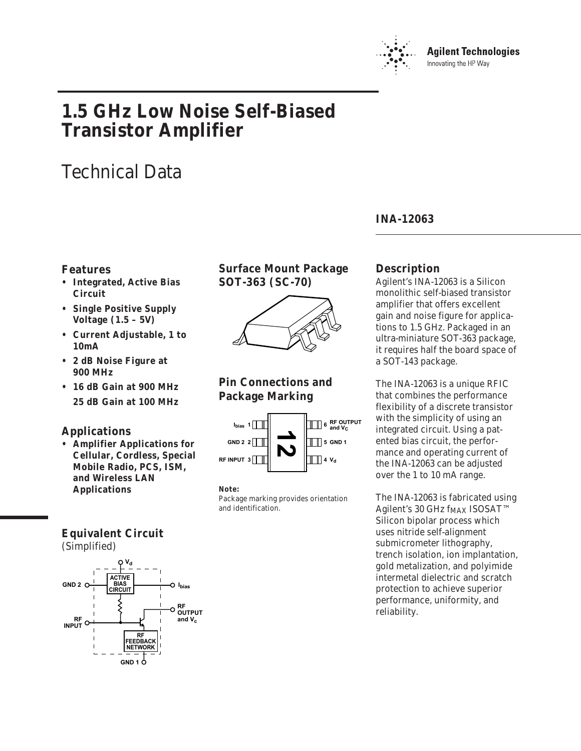

# **1.5 GHz Low Noise Self-Biased Transistor Amplifier**

# Technical Data

## **Features**

- **Integrated, Active Bias Circuit**
- **Single Positive Supply Voltage (1.5 – 5V)**
- **Current Adjustable, 1 to 10mA**
- **2 dB Noise Figure at 900 MHz**
- **16 dB Gain at 900 MHz 25 dB Gain at 100 MHz**

## **Applications**

**• Amplifier Applications for Cellular, Cordless, Special Mobile Radio, PCS, ISM, and Wireless LAN Applications**

## **Surface Mount Package SOT-363 (SC-70)**



## **Pin Connections and Package Marking**



**Note:**

Package marking provides orientation and identification.

## **INA-12063**

## **Description**

Agilent's INA-12063 is a Silicon monolithic self-biased transistor amplifier that offers excellent gain and noise figure for applications to 1.5 GHz. Packaged in an ultra-miniature SOT-363 package, it requires half the board space of a SOT-143 package.

The INA-12063 is a unique RFIC that combines the performance flexibility of a discrete transistor with the simplicity of using an integrated circuit. Using a patented bias circuit, the performance and operating current of the INA-12063 can be adjusted over the 1 to 10 mA range.

The INA-12063 is fabricated using Agilent's 30 GHz f<sub>MAX</sub> ISOSAT™ Silicon bipolar process which uses nitride self-alignment submicrometer lithography, trench isolation, ion implantation, gold metalization, and polyimide intermetal dielectric and scratch protection to achieve superior performance, uniformity, and reliability.

# **Equivalent Circuit**

(Simplified)

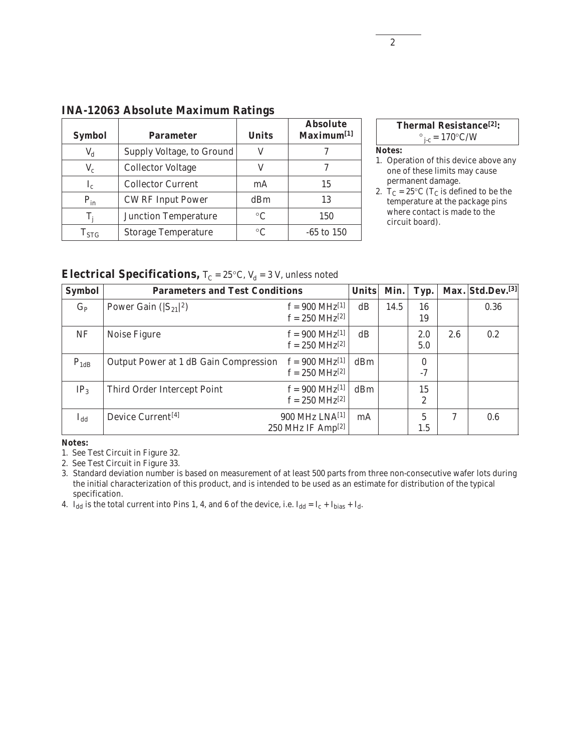| <b>Symbol</b>        | <b>Parameter</b>            | <b>Units</b>    | <b>Absolute</b><br>Maximum <sup>[1]</sup> |
|----------------------|-----------------------------|-----------------|-------------------------------------------|
| $\rm V_d$            | Supply Voltage, to Ground   |                 |                                           |
| $V_c$                | <b>Collector Voltage</b>    |                 |                                           |
| $\mathbf{I}_{\rm c}$ | <b>Collector Current</b>    | mA              | 15                                        |
| $P_{in}$             | <b>CW RF Input Power</b>    | dBm             | 13                                        |
| T,                   | <b>Junction Temperature</b> | $\rm ^{\circ}C$ | 150                                       |
| $\mathrm{T_{STG}}$   | <b>Storage Temperature</b>  | $\rm ^{\circ}C$ | $-65$ to $150$                            |

## **INA-12063 Absolute Maximum Ratings**



#### **Notes:**

- 1. Operation of this device above any one of these limits may cause permanent damage.
- 2.  $T_C = 25^{\circ}C$  (T<sub>C</sub> is defined to be the temperature at the package pins where contact is made to the circuit board).

**Electrical Specifications,**  $T_C = 25^{\circ}C$ ,  $V_d = 3$  V, unless noted

| <b>Symbol</b>            | <b>Parameters and Test Conditions</b>        |                                                            | <b>Units</b> | Min. | Typ.                   |     | Max. Std.Dev.[3] |
|--------------------------|----------------------------------------------|------------------------------------------------------------|--------------|------|------------------------|-----|------------------|
| $G_{P}$                  | Power Gain $(S_{21} ^2)$                     | $f = 900 \text{ MHz}^{[1]}$<br>$f = 250 \text{ MHz}^{[2]}$ | dB           | 14.5 | 16<br>19               |     | 0.36             |
| <b>NF</b>                | Noise Figure                                 | $f = 900 \text{ MHz}^{[1]}$<br>$f = 250 \text{ MHz}^{[2]}$ | dB           |      | 2.0<br>5.0             | 2.6 | 0.2              |
| $P_{1dB}$                | <b>Output Power at 1 dB Gain Compression</b> | $f = 900 \text{ MHz}^{[1]}$<br>$f = 250 \text{ MHz}^{[2]}$ | dBm          |      | $\bf{0}$<br>$-7$       |     |                  |
| IP <sub>3</sub>          | Third Order Intercept Point                  | $f = 900 \text{ MHz}^{[1]}$<br>$f = 250 \text{ MHz}^{[2]}$ | dBm          |      | 15<br>$\boldsymbol{2}$ |     |                  |
| $_{\rm bb}$ <sup>1</sup> | Device Current <sup>[4]</sup>                | 900 MHz LNA[1]<br>250 MHz IF Amp <sup>[2]</sup>            | mA           |      | 5<br>1.5               | 7   | 0.6              |

**Notes:**

1. See Test Circuit in Figure 32.

2. See Test Circuit in Figure 33.

3. Standard deviation number is based on measurement of at least 500 parts from three non-consecutive wafer lots during the initial characterization of this product, and is intended to be used as an estimate for distribution of the typical specification.

4.  $I_{dd}$  is the total current into Pins 1, 4, and 6 of the device, i.e.  $I_{dd} = I_c + I_{bias} + I_d$ .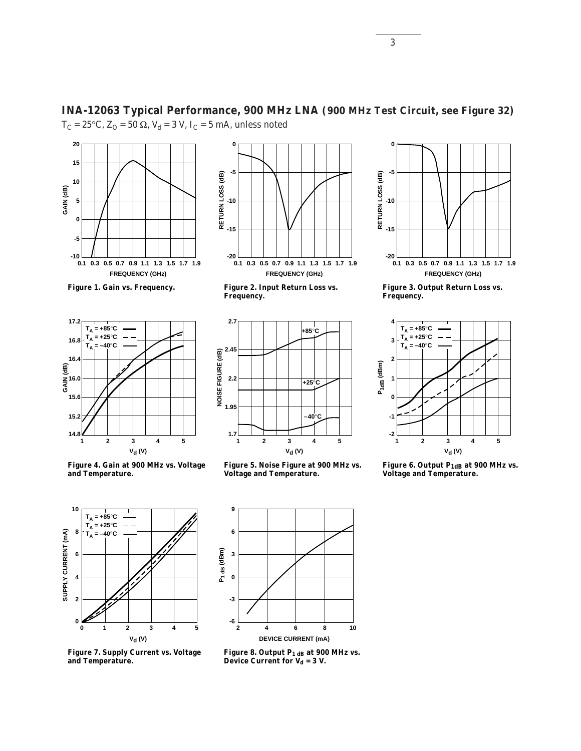

**Figure 1. Gain vs. Frequency.**



**Figure 4. Gain at 900 MHz vs. Voltage and Temperature.**



**Figure 7. Supply Current vs. Voltage and Temperature.**

**-5** RETURN LOSS (dB) **RETURN LOSS (dB) -10 -15 -20 0.1 0.5 0.7 0.9 1.1 0.3 1.3 1.71.5 1.9 FREQUENCY (GHz)**

**INA-12063 Typical Performance, 900 MHz LNA (900 MHz Test Circuit, see Figure 32)**

**0**

**Figure 2. Input Return Loss vs. Frequency.**



**Figure 5. Noise Figure at 900 MHz vs. Voltage and Temperature.**



**Figure 8. Output P1 dB at 900 MHz vs. Device Current for V<sub>d</sub> = 3 V.** 



**Figure 3. Output Return Loss vs. Frequency.**



**Figure 6. Output P1dB at 900 MHz vs. Voltage and Temperature.**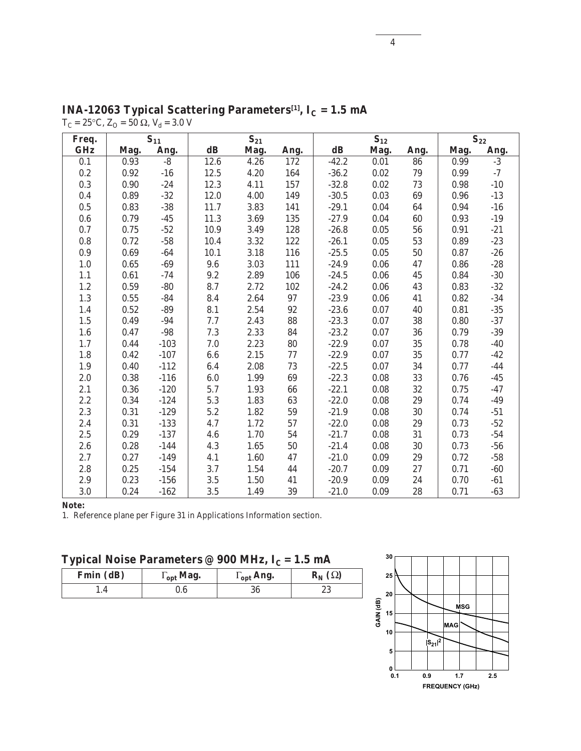| Freq.      |      | $S_{11}$ |               | $S_{21}$ |            |                         | $S_{12}$ |            |      | $S_{22}$ |
|------------|------|----------|---------------|----------|------------|-------------------------|----------|------------|------|----------|
| <b>GHz</b> | Mag. | Ang.     | $\mathbf{dB}$ | Mag.     | Ang.       | $\mathbf{d} \mathbf{B}$ | Mag.     | Ang.       | Mag. | Ang.     |
| 0.1        | 0.93 | $-8$     | 12.6          | 4.26     | 172        | $-42.2$                 | 0.01     | 86         | 0.99 | $-3$     |
| 0.2        | 0.92 | $-16$    | 12.5          | 4.20     | 164        | $-36.2$                 | 0.02     | 79         | 0.99 | $-7$     |
| 0.3        | 0.90 | $-24$    | 12.3          | 4.11     | 157        | $-32.8$                 | 0.02     | $73\,$     | 0.98 | $-10$    |
| 0.4        | 0.89 | $-32$    | 12.0          | 4.00     | 149        | $-30.5$                 | 0.03     | 69         | 0.96 | $-13$    |
| 0.5        | 0.83 | $-38$    | 11.7          | 3.83     | 141        | $-29.1$                 | 0.04     | 64         | 0.94 | $-16$    |
| $0.6\,$    | 0.79 | $-45$    | 11.3          | $3.69\,$ | 135        | $-27.9$                 | $0.04\,$ | ${\bf 60}$ | 0.93 | $-19$    |
| 0.7        | 0.75 | $-52$    | 10.9          | 3.49     | 128        | $-26.8$                 | $0.05\,$ | 56         | 0.91 | $-21$    |
| 0.8        | 0.72 | $-58$    | 10.4          | 3.32     | 122        | $-26.1$                 | 0.05     | 53         | 0.89 | $-23$    |
| $0.9\,$    | 0.69 | $-64$    | 10.1          | 3.18     | 116        | $-25.5$                 | 0.05     | ${\bf 50}$ | 0.87 | $-26$    |
| $1.0\,$    | 0.65 | $-69$    | 9.6           | 3.03     | 111        | $-24.9$                 | 0.06     | 47         | 0.86 | $-28$    |
| 1.1        | 0.61 | $-74$    | 9.2           | 2.89     | 106        | $-24.5$                 | 0.06     | 45         | 0.84 | $-30$    |
| $1.2\,$    | 0.59 | $-80$    | 8.7           | 2.72     | 102        | $-24.2$                 | 0.06     | 43         | 0.83 | $-32$    |
| $1.3\,$    | 0.55 | $-84$    | 8.4           | 2.64     | 97         | $-23.9$                 | 0.06     | 41         | 0.82 | $-34$    |
| 1.4        | 0.52 | $-89$    | 8.1           | $2.54\,$ | 92         | $-23.6$                 | 0.07     | 40         | 0.81 | $-35$    |
| $1.5\,$    | 0.49 | $-94$    | 7.7           | 2.43     | 88         | $-23.3$                 | 0.07     | 38         | 0.80 | $-37$    |
| $1.6\,$    | 0.47 | $-98$    | 7.3           | 2.33     | 84         | $-23.2$                 | $0.07\,$ | 36         | 0.79 | $-39$    |
| 1.7        | 0.44 | $-103$   | 7.0           | 2.23     | ${\bf 80}$ | $-22.9$                 | 0.07     | 35         | 0.78 | $-40$    |
| 1.8        | 0.42 | $-107$   | 6.6           | 2.15     | $77\,$     | $-22.9$                 | 0.07     | 35         | 0.77 | $-42$    |
| $1.9\,$    | 0.40 | $-112$   | 6.4           | 2.08     | 73         | $-22.5$                 | 0.07     | 34         | 0.77 | $-44$    |
| 2.0        | 0.38 | $-116$   | 6.0           | 1.99     | 69         | $-22.3$                 | 0.08     | 33         | 0.76 | $-45$    |
| 2.1        | 0.36 | $-120$   | 5.7           | 1.93     | ${\bf 66}$ | $-22.1$                 | 0.08     | 32         | 0.75 | $-47$    |
| 2.2        | 0.34 | $-124$   | 5.3           | 1.83     | 63         | $-22.0$                 | $0.08\,$ | 29         | 0.74 | $-49$    |
| 2.3        | 0.31 | $-129$   | 5.2           | 1.82     | ${\bf 59}$ | $-21.9$                 | $0.08\,$ | $30\,$     | 0.74 | $-51$    |
| 2.4        | 0.31 | $-133$   | 4.7           | 1.72     | 57         | $-22.0$                 | 0.08     | 29         | 0.73 | $-52$    |
| 2.5        | 0.29 | $-137$   | 4.6           | 1.70     | 54         | $-21.7$                 | 0.08     | 31         | 0.73 | $-54$    |
| 2.6        | 0.28 | $-144$   | 4.3           | 1.65     | ${\bf 50}$ | $-21.4$                 | 0.08     | 30         | 0.73 | $-56$    |
| 2.7        | 0.27 | $-149$   | 4.1           | 1.60     | 47         | $-21.0$                 | 0.09     | 29         | 0.72 | $-58$    |
| 2.8        | 0.25 | $-154$   | $3.7\,$       | 1.54     | 44         | $-20.7$                 | 0.09     | 27         | 0.71 | $-60$    |
| 2.9        | 0.23 | $-156$   | $3.5\,$       | 1.50     | 41         | $-20.9$                 | 0.09     | 24         | 0.70 | $-61$    |
| 3.0        | 0.24 | $-162$   | $3.5\,$       | 1.49     | $39\,$     | $-21.0$                 | 0.09     | 28         | 0.71 | $-63$    |

 $\textbf{INA-12063 Typical Scattering Parameters}^{[1]}, \ \textbf{I}_\textbf{C}=\textbf{1.5} \ \textbf{mA}$  $T_C = 25$ °C,  $Z_O = 50$  Ω,  $V_d = 3.0$  V

1. Reference plane per Figure 31 in Applications Information section.

| Typical Noise Parameters @ 900 MHz, I $_{\rm C}$ = 1.5 mA |  |  |  |  |  |
|-----------------------------------------------------------|--|--|--|--|--|
|-----------------------------------------------------------|--|--|--|--|--|

| Fmin (dB) | $\Gamma_{\text{opt}}$ Mag. | $\Gamma_{\text{opt}}$ Ang. | $\mathbf{R}_{\mathbf{N}}\left( \Omega\right)$ |  |  |
|-----------|----------------------------|----------------------------|-----------------------------------------------|--|--|
|           | J.6                        | ou                         | ດດ<br>ل م                                     |  |  |

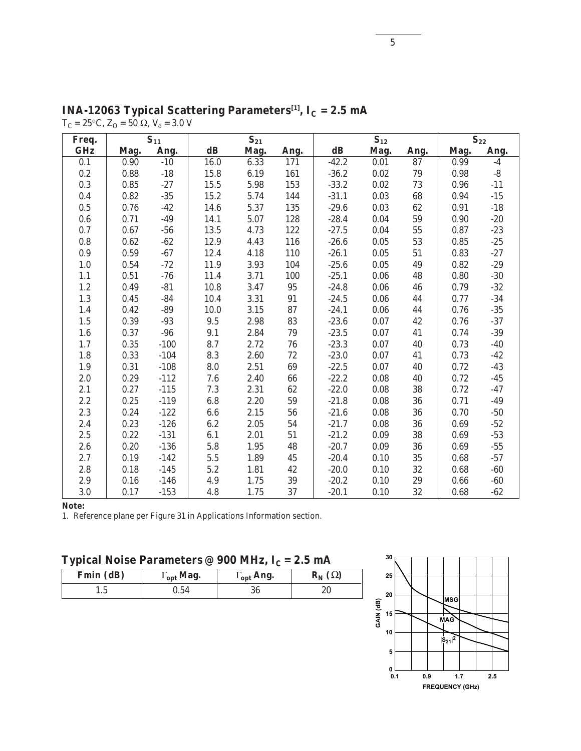| Freq.      |      | $S_{11}$ |               | $S_{21}$ |            | $S_{12}$      |          |            | $S_{22}$ |              |  |
|------------|------|----------|---------------|----------|------------|---------------|----------|------------|----------|--------------|--|
| <b>GHz</b> | Mag. | Ang.     | $\mathbf{dB}$ | Mag.     | Ang.       | $\mathbf{dB}$ | Mag.     | Ang.       | Mag.     | Ang.         |  |
| 0.1        | 0.90 | $-10$    | 16.0          | 6.33     | 171        | $-42.2$       | 0.01     | 87         | 0.99     | $-4$         |  |
| 0.2        | 0.88 | $-18$    | 15.8          | 6.19     | 161        | $-36.2$       | 0.02     | 79         | 0.98     | $-8$         |  |
| 0.3        | 0.85 | $-27$    | 15.5          | 5.98     | 153        | $-33.2$       | 0.02     | 73         | 0.96     | $-11$        |  |
| 0.4        | 0.82 | $-35\,$  | 15.2          | 5.74     | 144        | $-31.1$       | $0.03\,$ | 68         | 0.94     | $-15$        |  |
| $0.5\,$    | 0.76 | $-42$    | 14.6          | 5.37     | 135        | $-29.6$       | 0.03     | $62\,$     | 0.91     | $-18$        |  |
| 0.6        | 0.71 | $-49$    | 14.1          | 5.07     | 128        | $-28.4$       | 0.04     | ${\bf 59}$ | 0.90     | $-20$        |  |
| 0.7        | 0.67 | $-56$    | 13.5          | 4.73     | 122        | $-27.5$       | 0.04     | ${\bf 55}$ | 0.87     | $-23$        |  |
| $0.8\,$    | 0.62 | $-62$    | 12.9          | 4.43     | 116        | $-26.6$       | 0.05     | 53         | 0.85     | $-25$        |  |
| 0.9        | 0.59 | $-67$    | 12.4          | 4.18     | 110        | $-26.1$       | 0.05     | $51\,$     | 0.83     | $-27$        |  |
| $1.0\,$    | 0.54 | $-72$    | 11.9          | 3.93     | 104        | $-25.6$       | 0.05     | 49         | 0.82     | $-29$        |  |
| 1.1        | 0.51 | $-76$    | 11.4          | 3.71     | 100        | $-25.1$       | 0.06     | 48         | 0.80     | $-30$        |  |
| 1.2        | 0.49 | $-81$    | 10.8          | $3.47\,$ | $\bf 95$   | $-24.8$       | 0.06     | 46         | 0.79     | $-32$        |  |
| 1.3        | 0.45 | $-84$    | 10.4          | 3.31     | 91         | $-24.5$       | $0.06\,$ | 44         | 0.77     | $-34$        |  |
| 1.4        | 0.42 | $-89$    | 10.0          | 3.15     | 87         | $-24.1$       | 0.06     | 44         | 0.76     | $-35$        |  |
| $1.5\,$    | 0.39 | $-93$    | 9.5           | 2.98     | 83         | $-23.6$       | 0.07     | $42\,$     | 0.76     | $-37$        |  |
| $1.6\,$    | 0.37 | $-96$    | 9.1           | 2.84     | 79         | $-23.5$       | $0.07\,$ | 41         | 0.74     | $-39$        |  |
| 1.7        | 0.35 | $-100$   | 8.7           | 2.72     | ${\bf 76}$ | $-23.3$       | 0.07     | 40         | 0.73     | $-40$        |  |
| 1.8        | 0.33 | $-104$   | 8.3           | 2.60     | $72\,$     | $-23.0$       | 0.07     | 41         | 0.73     | $-42$        |  |
| $1.9\,$    | 0.31 | $-108$   | 8.0           | 2.51     | $\bf{69}$  | $-22.5$       | 0.07     | $40\,$     | 0.72     | $-43$        |  |
| 2.0        | 0.29 | $-112$   | 7.6           | 2.40     | 66         | $-22.2$       | 0.08     | 40         | 0.72     | $-45$        |  |
| 2.1        | 0.27 | $-115$   | 7.3           | 2.31     | 62         | $-22.0$       | 0.08     | 38         | 0.72     | $-47$        |  |
| 2.2        | 0.25 | $-119$   | $\bf{6.8}$    | $2.20\,$ | ${\bf 59}$ | $-21.8$       | $0.08\,$ | ${\bf 36}$ | 0.71     | $-49$        |  |
| 2.3        | 0.24 | $-122$   | 6.6           | 2.15     | 56         | $-21.6$       | $0.08\,$ | 36         | 0.70     | $-50$        |  |
| 2.4        | 0.23 | $-126$   | 6.2           | 2.05     | 54         | $-21.7$       | 0.08     | 36         | 0.69     | $-52$        |  |
| $2.5\,$    | 0.22 | $-131$   | 6.1           | 2.01     | 51         | $-21.2$       | 0.09     | $3\bf{8}$  | 0.69     | $\mbox{-}53$ |  |
| 2.6        | 0.20 | $-136$   | 5.8           | 1.95     | 48         | $-20.7$       | 0.09     | 36         | 0.69     | $-55$        |  |
| 2.7        | 0.19 | $-142$   | 5.5           | 1.89     | 45         | $-20.4$       | 0.10     | 35         | 0.68     | $-57$        |  |
| $2.8\,$    | 0.18 | $-145$   | $5.2\,$       | 1.81     | $42\,$     | $-20.0$       | 0.10     | $32\,$     | 0.68     | $-60$        |  |
| 2.9        | 0.16 | $-146$   | 4.9           | 1.75     | 39         | $-20.2$       | 0.10     | 29         | 0.66     | $-60$        |  |
| 3.0        | 0.17 | $-153$   | 4.8           | 1.75     | 37         | $-20.1$       | 0.10     | $32\,$     | 0.68     | $-62$        |  |

 $\textbf{INA-12063 Typical Scattering Parameters}^{[1]}, \ \textbf{I}_\textbf{C}=\textbf{2.5} \ \textbf{mA}$  $T_C = 25$ °C,  $Z_O = 50$  Ω,  $V_d = 3.0$  V

1. Reference plane per Figure 31 in Applications Information section.

# **Typical Noise Parameters @ 900 MHz, I<sub>C</sub> = 2.5 mA**

| Fmin (dB) | $\Gamma_{\text{opt}}$ Mag. | $\Gamma_{\text{opt}}$ Ang. | $\mathbf{R}_{N}(\Omega)$ |  |  |
|-----------|----------------------------|----------------------------|--------------------------|--|--|
| L.J       | 0.54                       | 36                         | ۷J                       |  |  |

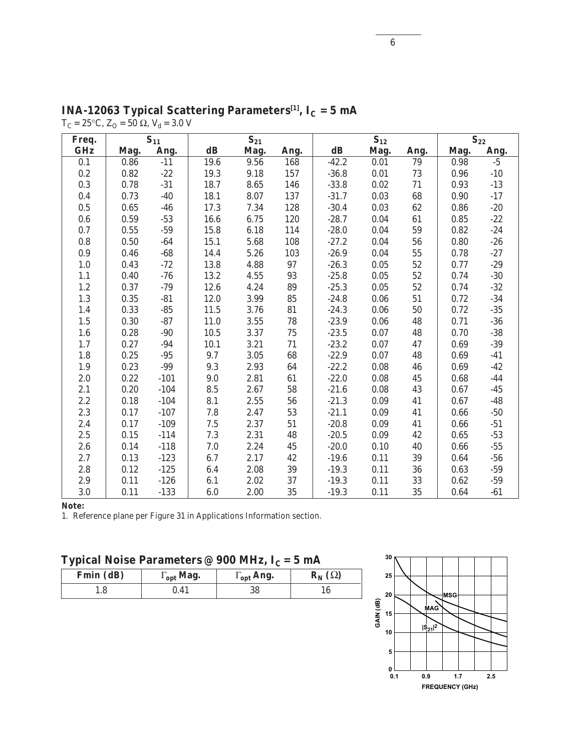| Freq.      |      | $S_{11}$ |               | $S_{21}$ |        |               | $S_{12}$ |            |      | $S_{22}$ |
|------------|------|----------|---------------|----------|--------|---------------|----------|------------|------|----------|
| <b>GHz</b> | Mag. | Ang.     | $\mathbf{dB}$ | Mag.     | Ang.   | $\mathbf{dB}$ | Mag.     | Ang.       | Mag. | Ang.     |
| 0.1        | 0.86 | $-11$    | 19.6          | 9.56     | 168    | $-42.2$       | 0.01     | 79         | 0.98 | $-5$     |
| 0.2        | 0.82 | $-22$    | 19.3          | 9.18     | 157    | $-36.8$       | 0.01     | 73         | 0.96 | $-10$    |
| 0.3        | 0.78 | $-31$    | 18.7          | 8.65     | 146    | $-33.8$       | $0.02\,$ | $71\,$     | 0.93 | $-13$    |
| 0.4        | 0.73 | $-40$    | 18.1          | 8.07     | 137    | $-31.7$       | 0.03     | $\bf 68$   | 0.90 | $-17$    |
| $0.5\,$    | 0.65 | $-46$    | 17.3          | 7.34     | 128    | $-30.4$       | 0.03     | $62\,$     | 0.86 | $-20$    |
| 0.6        | 0.59 | $-53$    | 16.6          | 6.75     | 120    | $-28.7$       | $0.04\,$ | 61         | 0.85 | $-22$    |
| 0.7        | 0.55 | $-59$    | 15.8          | 6.18     | 114    | $-28.0$       | 0.04     | 59         | 0.82 | $-24$    |
| 0.8        | 0.50 | $-64$    | 15.1          | 5.68     | 108    | $-27.2$       | 0.04     | 56         | 0.80 | $-26$    |
| $0.9\,$    | 0.46 | $-68$    | 14.4          | 5.26     | 103    | $-26.9$       | 0.04     | ${\bf 55}$ | 0.78 | $-27$    |
| $1.0\,$    | 0.43 | $-72$    | 13.8          | 4.88     | 97     | $-26.3$       | $0.05\,$ | $52\,$     | 0.77 | $-29$    |
| 1.1        | 0.40 | $-76$    | 13.2          | 4.55     | 93     | $-25.8$       | 0.05     | $52\,$     | 0.74 | $-30$    |
| 1.2        | 0.37 | $-79$    | 12.6          | 4.24     | 89     | $-25.3$       | 0.05     | $52\,$     | 0.74 | $-32$    |
| $1.3\,$    | 0.35 | $-81$    | 12.0          | 3.99     | 85     | $-24.8$       | 0.06     | ${\bf 51}$ | 0.72 | $-34$    |
| 1.4        | 0.33 | $-85$    | 11.5          | 3.76     | 81     | $-24.3$       | 0.06     | ${\bf 50}$ | 0.72 | $-35$    |
| $1.5\,$    | 0.30 | $-87$    | $11.0$        | 3.55     | 78     | $-23.9$       | 0.06     | 48         | 0.71 | $-36$    |
| $1.6\,$    | 0.28 | $-90$    | 10.5          | 3.37     | $75\,$ | $-23.5$       | 0.07     | 48         | 0.70 | $-38$    |
| 1.7        | 0.27 | $-94$    | 10.1          | 3.21     | 71     | $-23.2$       | 0.07     | 47         | 0.69 | $-39$    |
| 1.8        | 0.25 | $-95$    | 9.7           | 3.05     | 68     | $-22.9$       | 0.07     | 48         | 0.69 | $-41$    |
| 1.9        | 0.23 | $-99$    | 9.3           | 2.93     | 64     | $-22.2$       | 0.08     | 46         | 0.69 | $-42$    |
| 2.0        | 0.22 | $-101$   | 9.0           | 2.81     | 61     | $-22.0$       | 0.08     | 45         | 0.68 | $-44$    |
| 2.1        | 0.20 | $-104$   | 8.5           | 2.67     | 58     | $-21.6$       | 0.08     | 43         | 0.67 | $-45$    |
| 2.2        | 0.18 | $-104$   | 8.1           | $2.55\,$ | 56     | $-21.3$       | 0.09     | 41         | 0.67 | $-48$    |
| 2.3        | 0.17 | $-107$   | 7.8           | 2.47     | 53     | $-21.1$       | 0.09     | 41         | 0.66 | $-50$    |
| 2.4        | 0.17 | $-109$   | $7.5\,$       | 2.37     | 51     | $-20.8$       | 0.09     | 41         | 0.66 | $-51$    |
| 2.5        | 0.15 | $-114$   | $7.3\,$       | 2.31     | 48     | $-20.5$       | 0.09     | 42         | 0.65 | $-53$    |
| 2.6        | 0.14 | $-118$   | 7.0           | 2.24     | 45     | $-20.0$       | 0.10     | 40         | 0.66 | $-55$    |
| 2.7        | 0.13 | $-123$   | 6.7           | 2.17     | 42     | $-19.6$       | 0.11     | $39\,$     | 0.64 | $-56$    |
| 2.8        | 0.12 | $-125$   | 6.4           | 2.08     | $39\,$ | $-19.3$       | 0.11     | 36         | 0.63 | $-59$    |
| 2.9        | 0.11 | $-126$   | 6.1           | 2.02     | 37     | $-19.3$       | 0.11     | $33\,$     | 0.62 | $-59$    |
| 3.0        | 0.11 | $-133$   | 6.0           | 2.00     | 35     | $-19.3$       | 0.11     | 35         | 0.64 | $-61$    |

 $\textbf{INA-12063}\text{ Typical Scattering Parameters}^{[1]}, \text{ I}_\text{C} \text{ = 5 mA}$  $T_C = 25$ °C,  $Z_O = 50$  Ω,  $V_d = 3.0$  V

1. Reference plane per Figure 31 in Applications Information section.

# Typical Noise Parameters @ 900 MHz,  $I_C = 5$  mA

| Fmin (dB) | $\Gamma_{\text{opt}}$ Mag. | $\Gamma_{\rm opt}$ Ang. | $\mathbf{R}_{N}(\Omega)$ |
|-----------|----------------------------|-------------------------|--------------------------|
|           | $\rm 0.41$                 | 38                      |                          |

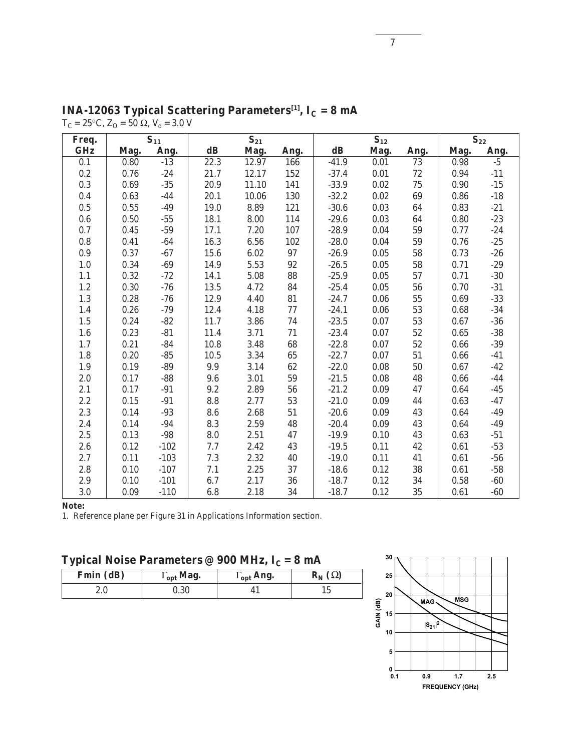| Freq.      |      | $S_{11}$ |               | $S_{21}$ |          |               | $S_{12}$ |            |      | $S_{22}$     |
|------------|------|----------|---------------|----------|----------|---------------|----------|------------|------|--------------|
| <b>GHz</b> | Mag. | Ang.     | $\mathbf{dB}$ | Mag.     | Ang.     | $\mathbf{dB}$ | Mag.     | Ang.       | Mag. | Ang.         |
| 0.1        | 0.80 | $-13$    | 22.3          | 12.97    | 166      | $-41.9$       | 0.01     | 73         | 0.98 | $-5$         |
| 0.2        | 0.76 | $-24$    | 21.7          | 12.17    | 152      | $-37.4$       | 0.01     | 72         | 0.94 | $-11$        |
| $0.3\,$    | 0.69 | $-35\,$  | 20.9          | 11.10    | 141      | $-33.9$       | $0.02\,$ | $75\,$     | 0.90 | $\mbox{-}15$ |
| 0.4        | 0.63 | $-44$    | 20.1          | 10.06    | 130      | $-32.2$       | $0.02\,$ | 69         | 0.86 | $-18$        |
| 0.5        | 0.55 | $-49$    | 19.0          | 8.89     | 121      | $-30.6$       | 0.03     | 64         | 0.83 | $-21$        |
| 0.6        | 0.50 | $-55\,$  | 18.1          | 8.00     | 114      | $-29.6$       | 0.03     | 64         | 0.80 | $-23$        |
| 0.7        | 0.45 | $-59$    | 17.1          | 7.20     | 107      | $-28.9$       | 0.04     | ${\bf 59}$ | 0.77 | $-24$        |
| 0.8        | 0.41 | $-64$    | 16.3          | 6.56     | 102      | $-28.0$       | 0.04     | 59         | 0.76 | $-25$        |
| 0.9        | 0.37 | $-67$    | 15.6          | 6.02     | $97\,$   | $-26.9$       | 0.05     | ${\bf 58}$ | 0.73 | $-26$        |
| $1.0\,$    | 0.34 | $-69$    | 14.9          | 5.53     | 92       | $-26.5$       | $0.05\,$ | ${\bf 58}$ | 0.71 | $-29$        |
| 1.1        | 0.32 | $-72$    | 14.1          | $5.08\,$ | 88       | $-25.9$       | $0.05\,$ | $57\,$     | 0.71 | $-30$        |
| $1.2\,$    | 0.30 | $-76$    | 13.5          | 4.72     | 84       | $-25.4$       | 0.05     | ${\bf 56}$ | 0.70 | $-31$        |
| $1.3\,$    | 0.28 | $-76$    | 12.9          | 4.40     | 81       | $-24.7$       | 0.06     | ${\bf 55}$ | 0.69 | $-33$        |
| 1.4        | 0.26 | $-79$    | 12.4          | 4.18     | $77 \,$  | $-24.1$       | 0.06     | 53         | 0.68 | $-34$        |
| $1.5\,$    | 0.24 | $-82$    | 11.7          | 3.86     | 74       | $-23.5$       | 0.07     | ${\bf 53}$ | 0.67 | $-36$        |
| $1.6\,$    | 0.23 | $-81$    | 11.4          | 3.71     | $71\,$   | $-23.4$       | 0.07     | $52\,$     | 0.65 | $-38$        |
| 1.7        | 0.21 | $-84$    | 10.8          | 3.48     | 68       | $-22.8$       | 0.07     | $52\,$     | 0.66 | $-39$        |
| $1.8\,$    | 0.20 | $-85$    | 10.5          | $3.34\,$ | $\bf 65$ | $-22.7$       | 0.07     | ${\bf 51}$ | 0.66 | $-41$        |
| $1.9\,$    | 0.19 | $-89$    | 9.9           | 3.14     | 62       | $-22.0$       | 0.08     | $50\,$     | 0.67 | $-42$        |
| $2.0\,$    | 0.17 | $-88$    | 9.6           | $3.01\,$ | 59       | $-21.5$       | 0.08     | 48         | 0.66 | $-44$        |
| 2.1        | 0.17 | $-91$    | $9.2\,$       | 2.89     | 56       | $-21.2$       | 0.09     | $47\,$     | 0.64 | $-45$        |
| 2.2        | 0.15 | $-91$    | 8.8           | 2.77     | 53       | $-21.0$       | 0.09     | 44         | 0.63 | $-47$        |
| 2.3        | 0.14 | $-93$    | 8.6           | 2.68     | 51       | $-20.6$       | 0.09     | 43         | 0.64 | $-49$        |
| 2.4        | 0.14 | $-94$    | 8.3           | 2.59     | 48       | $-20.4$       | 0.09     | 43         | 0.64 | $-49$        |
| 2.5        | 0.13 | $-98$    | 8.0           | 2.51     | 47       | $-19.9$       | 0.10     | 43         | 0.63 | $-51$        |
| 2.6        | 0.12 | $-102$   | 7.7           | 2.42     | 43       | $-19.5$       | 0.11     | 42         | 0.61 | $-53$        |
| 2.7        | 0.11 | $-103$   | $7.3\,$       | 2.32     | 40       | $-19.0$       | 0.11     | 41         | 0.61 | $-56$        |
| 2.8        | 0.10 | $-107$   | 7.1           | $2.25\,$ | 37       | $-18.6$       | 0.12     | $3\bf{8}$  | 0.61 | $-58$        |
| 2.9        | 0.10 | $-101$   | 6.7           | 2.17     | 36       | $-18.7$       | 0.12     | $34\,$     | 0.58 | $-60$        |
| 3.0        | 0.09 | $-110$   | 6.8           | 2.18     | 34       | $-18.7$       | 0.12     | 35         | 0.61 | $-60$        |

 $\textbf{INA-12063}$  Typical Scattering Parameters $^{[1]}, \ \textbf{I}_\textbf{C} = \textbf{8} \ \textbf{mA}$  $T_C = 25$ °C,  $Z_O = 50$  Ω,  $V_d = 3.0$  V

1. Reference plane per Figure 31 in Applications Information section.

# Typical Noise Parameters @ 900 MHz,  $I_C = 8$  mA

| Fmin (dB) | $\Gamma_{\rm opt}$ Mag. | $\Gamma_{\text{opt}}$ Ang. | $\mathbf{R}_{N}(\Omega)$ |
|-----------|-------------------------|----------------------------|--------------------------|
| 4.U       | J.30                    |                            |                          |

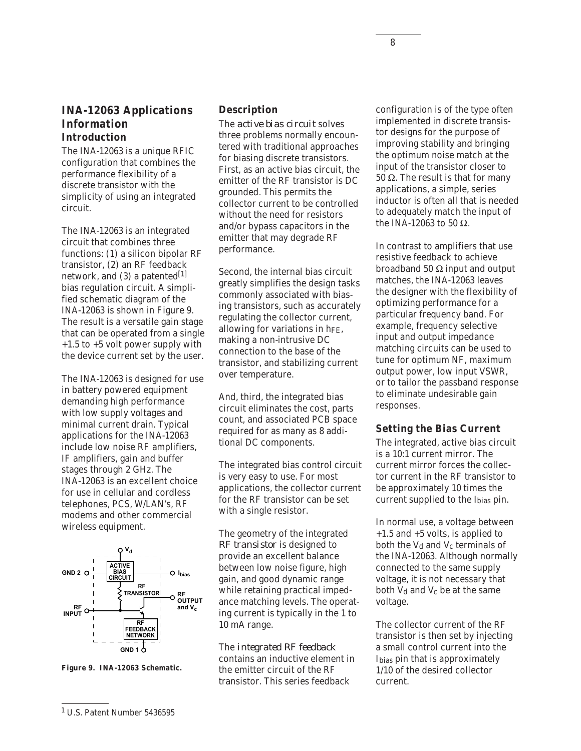## **INA-12063 Applications Information Introduction**

The INA-12063 is a unique RFIC configuration that combines the performance flexibility of a discrete transistor with the simplicity of using an integrated circuit.

The INA-12063 is an integrated circuit that combines three functions: (1) a silicon bipolar RF transistor, (2) an RF feedback network, and  $(3)$  a patented<sup>[1]</sup> bias regulation circuit. A simplified schematic diagram of the INA-12063 is shown in Figure 9. The result is a versatile gain stage that can be operated from a single +1.5 to +5 volt power supply with the device current set by the user.

The INA-12063 is designed for use in battery powered equipment demanding high performance with low supply voltages and minimal current drain. Typical applications for the INA-12063 include low noise RF amplifiers, IF amplifiers, gain and buffer stages through 2 GHz. The INA-12063 is an excellent choice for use in cellular and cordless telephones, PCS, W/LAN's, RF modems and other commercial wireless equipment.





#### **Description**

The *active bias circuit* solves three problems normally encountered with traditional approaches for biasing discrete transistors. First, as an active bias circuit, the emitter of the RF transistor is DC grounded. This permits the collector current to be controlled without the need for resistors and/or bypass capacitors in the emitter that may degrade RF performance.

Second, the internal bias circuit greatly simplifies the design tasks commonly associated with biasing transistors, such as accurately regulating the collector current, allowing for variations in hFE, making a non-intrusive DC connection to the base of the transistor, and stabilizing current over temperature.

And, third, the integrated bias circuit eliminates the cost, parts count, and associated PCB space required for as many as 8 additional DC components.

The integrated bias control circuit is very easy to use. For most applications, the collector current for the RF transistor can be set with a single resistor.

The geometry of the integrated *RF transistor* is designed to provide an excellent balance between low noise figure, high gain, and good dynamic range while retaining practical impedance matching levels. The operating current is typically in the 1 to 10 mA range.

The *integrated RF feedback* contains an inductive element in the emitter circuit of the RF transistor. This series feedback

configuration is of the type often implemented in discrete transistor designs for the purpose of improving stability and bringing the optimum noise match at the input of the transistor closer to 50  $Ω$ . The result is that for many applications, a simple, series inductor is often all that is needed to adequately match the input of the INA-12063 to 50 Ω.

In contrast to amplifiers that use resistive feedback to achieve broadband 50 Ω input and output matches, the INA-12063 leaves the designer with the flexibility of optimizing performance for a particular frequency band. For example, frequency selective input and output impedance matching circuits can be used to tune for optimum NF, maximum output power, low input VSWR, or to tailor the passband response to eliminate undesirable gain responses.

#### **Setting the Bias Current**

The integrated, active bias circuit is a 10:1 current mirror. The current mirror forces the collector current in the RF transistor to be approximately 10 times the current supplied to the Ibias pin.

In normal use, a voltage between +1.5 and +5 volts, is applied to both the V<sub>d</sub> and V<sub>c</sub> terminals of the INA-12063. Although normally connected to the same supply voltage, it is not necessary that both V<sub>d</sub> and V<sub>c</sub> be at the same voltage.

The collector current of the RF transistor is then set by injecting a small control current into the Ibias pin that is approximately 1/10 of the desired collector current.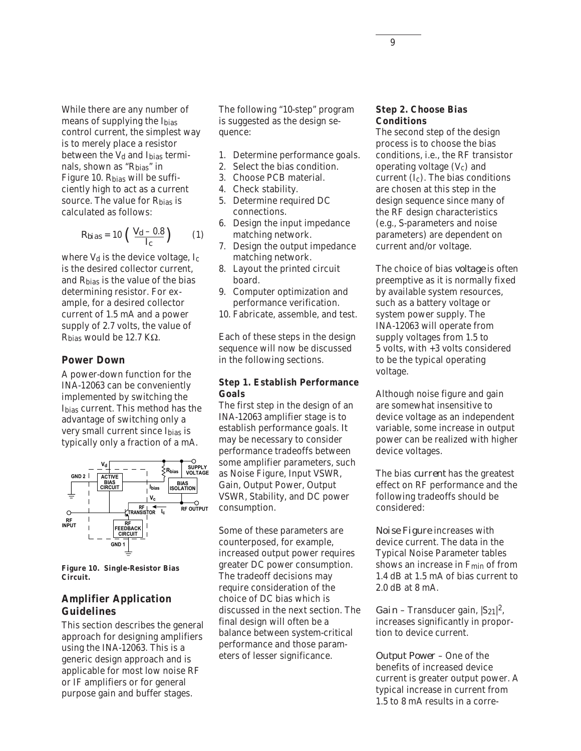While there are any number of means of supplying the Ibias control current, the simplest way is to merely place a resistor between the  $V<sub>d</sub>$  and I<sub>bias</sub> terminals, shown as "Rbias" in Figure 10. Rbias will be sufficiently high to act as a current source. The value for R<sub>bias</sub> is calculated as follows:

$$
R_{bias} = 10 \left( \frac{V_d - 0.8}{I_c} \right) \tag{1}
$$

where  $V_d$  is the device voltage,  $I_c$ is the desired collector current, and Rbias is the value of the bias determining resistor. For example, for a desired collector current of 1.5 mA and a power supply of 2.7 volts, the value of R<sub>bias</sub> would be 12.7 KΩ.

#### **Power Down**

A power-down function for the INA-12063 can be conveniently implemented by switching the Ibias current. This method has the advantage of switching only a very small current since Ibias is typically only a fraction of a mA.



**Figure 10. Single-Resistor Bias Circuit.**

#### **Amplifier Application Guidelines**

This section describes the general approach for designing amplifiers using the INA-12063. This is a generic design approach and is applicable for most low noise RF or IF amplifiers or for general purpose gain and buffer stages.

The following "10-step" program is suggested as the design sequence:

- 1. Determine performance goals.
- 2. Select the bias condition.
- 3. Choose PCB material.
- 4. Check stability.
- 5. Determine required DC connections.
- 6. Design the input impedance matching network.
- 7. Design the output impedance matching network.
- 8. Layout the printed circuit board.
- 9. Computer optimization and performance verification.
- 10. Fabricate, assemble, and test.

Each of these steps in the design sequence will now be discussed in the following sections.

#### **Step 1. Establish Performance Goals**

The first step in the design of an INA-12063 amplifier stage is to establish performance goals. It may be necessary to consider performance tradeoffs between some amplifier parameters, such as Noise Figure, Input VSWR, Gain, Output Power, Output VSWR, Stability, and DC power consumption.

Some of these parameters are counterposed, for example, increased output power requires greater DC power consumption. The tradeoff decisions may require consideration of the choice of DC bias which is discussed in the next section. The final design will often be a balance between system-critical performance and those parameters of lesser significance.

## **Step 2. Choose Bias Conditions**

The second step of the design process is to choose the bias conditions, i.e., the RF transistor operating voltage  $(V_c)$  and current  $(I_c)$ . The bias conditions are chosen at this step in the design sequence since many of the RF design characteristics (e.g., S-parameters and noise parameters) are dependent on current and/or voltage.

The choice of bias *voltage* is often preemptive as it is normally fixed by available system resources, such as a battery voltage or system power supply. The INA-12063 will operate from supply voltages from 1.5 to 5 volts, with +3 volts considered to be the typical operating voltage.

Although noise figure and gain are somewhat insensitive to device voltage as an independent variable, some increase in output power can be realized with higher device voltages.

The bias *current* has the greatest effect on RF performance and the following tradeoffs should be considered:

*Noise Figure* increases with device current. The data in the Typical Noise Parameter tables shows an increase in  $F_{\text{min}}$  of from 1.4 dB at 1.5 mA of bias current to 2.0 dB at 8 mA.

*Gain* – Transducer gain,  $|S_{21}|^2$ , increases significantly in proportion to device current.

*Output Power* – One of the benefits of increased device current is greater output power. A typical increase in current from 1.5 to 8 mA results in a corre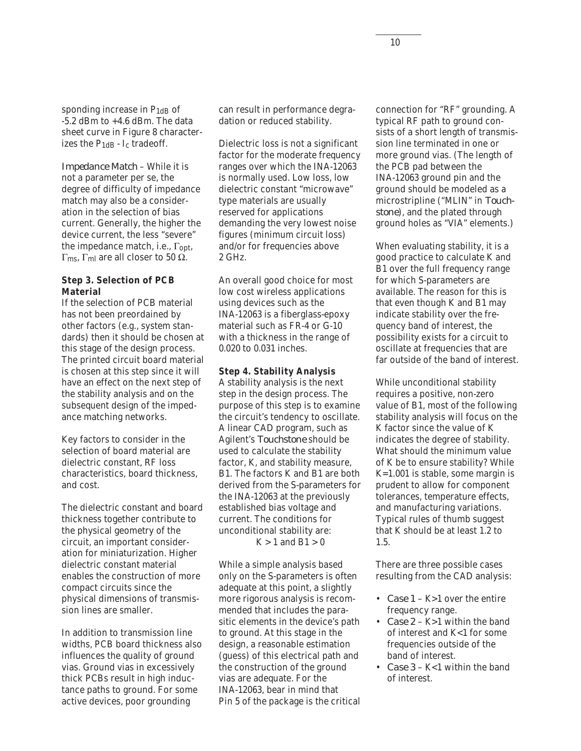sponding increase in  $P_{1dB}$  of -5.2 dBm to +4.6 dBm. The data sheet curve in Figure 8 characterizes the  $P_{1dB}$  -  $I_c$  tradeoff.

*Impedance Match* – While it is not a parameter per se, the degree of difficulty of impedance match may also be a consideration in the selection of bias current. Generally, the higher the device current, the less "severe" the impedance match, i.e.,  $\Gamma_{\text{opt}}$ , Γ<sub>ms</sub>, Γ<sub>ml</sub> are all closer to 50 Ω.

#### **Step 3. Selection of PCB Material**

If the selection of PCB material has not been preordained by other factors (e.g., system standards) then it should be chosen at this stage of the design process. The printed circuit board material is chosen at this step since it will have an effect on the next step of the stability analysis and on the subsequent design of the impedance matching networks.

Key factors to consider in the selection of board material are dielectric constant, RF loss characteristics, board thickness, and cost.

The dielectric constant and board thickness together contribute to the physical geometry of the circuit, an important consideration for miniaturization. Higher dielectric constant material enables the construction of more compact circuits since the physical dimensions of transmission lines are smaller.

In addition to transmission line widths, PCB board thickness also influences the quality of ground vias. Ground vias in excessively thick PCBs result in high inductance paths to ground. For some active devices, poor grounding

can result in performance degradation or reduced stability.

Dielectric loss is not a significant factor for the moderate frequency ranges over which the INA-12063 is normally used. Low loss, low dielectric constant "microwave" type materials are usually reserved for applications demanding the very lowest noise figures (minimum circuit loss) and/or for frequencies above 2 GHz.

An overall good choice for most low cost wireless applications using devices such as the INA-12063 is a fiberglass-epoxy material such as FR-4 or G-10 with a thickness in the range of 0.020 to 0.031 inches.

#### **Step 4. Stability Analysis**

A stability analysis is the next step in the design process. The purpose of this step is to examine the circuit's tendency to oscillate. A linear CAD program, such as Agilent's *Touchstone* should be used to calculate the stability factor, K, and stability measure, B1. The factors K and B1 are both derived from the S-parameters for the INA-12063 at the previously established bias voltage and current. The conditions for unconditional stability are:  $K > 1$  and  $B1 > 0$ 

While a simple analysis based only on the S-parameters is often adequate at this point, a slightly more rigorous analysis is recommended that includes the parasitic elements in the device's path to ground. At this stage in the design, a reasonable estimation (guess) of this electrical path and the construction of the ground vias are adequate. For the INA-12063, bear in mind that Pin 5 of the package is the critical connection for "RF" grounding. A typical RF path to ground consists of a short length of transmission line terminated in one or more ground vias. (The length of the PCB pad between the INA-12063 ground pin and the ground should be modeled as a microstripline ("MLIN" in *Touchstone*), and the plated through ground holes as "VIA" elements.)

When evaluating stability, it is a good practice to calculate K and B1 over the full frequency range for which S-parameters are available. The reason for this is that even though K and B1 may indicate stability over the frequency band of interest, the possibility exists for a circuit to oscillate at frequencies that are far outside of the band of interest.

While unconditional stability requires a positive, non-zero value of B1, most of the following stability analysis will focus on the K factor since the value of K indicates the degree of stability. What should the minimum value of K be to ensure stability? While K=1.001 is stable, some margin is prudent to allow for component tolerances, temperature effects, and manufacturing variations. Typical rules of thumb suggest that K should be at least 1.2 to 1.5.

There are three possible cases resulting from the CAD analysis:

- *Case 1* K>1 over the entire frequency range.
- *Case 2* K>1 within the band of interest and K<1 for some frequencies outside of the band of interest.
- *Case 3* K<1 within the band of interest.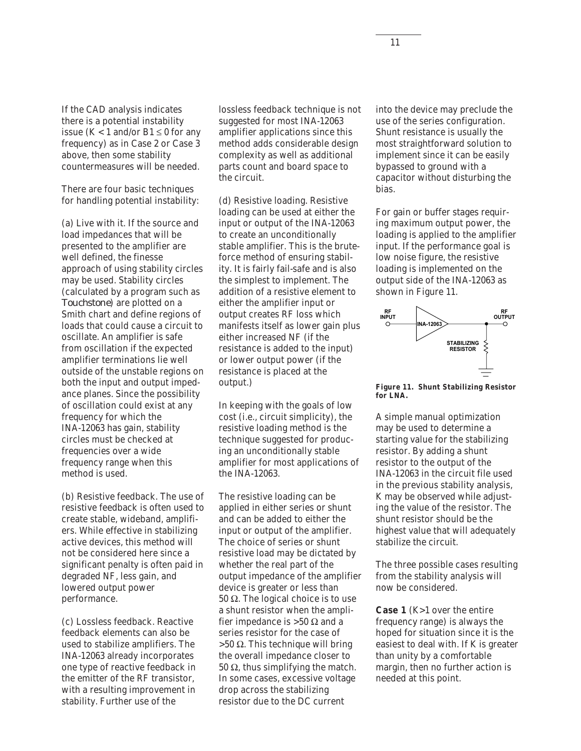If the CAD analysis indicates there is a potential instability issue ( $K < 1$  and/or  $B1 \le 0$  for any frequency) as in Case 2 or Case 3 above, then some stability countermeasures will be needed.

There are four basic techniques for handling potential instability:

(a) Live with it. If the source and load impedances that will be presented to the amplifier are well defined, the finesse approach of using stability circles may be used. Stability circles (calculated by a program such as *Touchstone*) are plotted on a Smith chart and define regions of loads that could cause a circuit to oscillate. An amplifier is safe from oscillation if the expected amplifier terminations lie well outside of the unstable regions on both the input and output impedance planes. Since the possibility of oscillation could exist at any frequency for which the INA-12063 has gain, stability circles must be checked at frequencies over a wide frequency range when this method is used.

(b) Resistive feedback. The use of resistive feedback is often used to create stable, wideband, amplifiers. While effective in stabilizing active devices, this method will not be considered here since a significant penalty is often paid in degraded NF, less gain, and lowered output power performance.

(c) Lossless feedback. Reactive feedback elements can also be used to stabilize amplifiers. The INA-12063 already incorporates one type of reactive feedback in the emitter of the RF transistor, with a resulting improvement in stability. Further use of the

lossless feedback technique is not suggested for most INA-12063 amplifier applications since this method adds considerable design complexity as well as additional parts count and board space to the circuit.

(d) Resistive loading. Resistive loading can be used at either the input or output of the INA-12063 to create an unconditionally stable amplifier. This is the bruteforce method of ensuring stability. It is fairly fail-safe and is also the simplest to implement. The addition of a resistive element to either the amplifier input or output creates RF loss which manifests itself as lower gain plus either increased NF (if the resistance is added to the input) or lower output power (if the resistance is placed at the output.)

In keeping with the goals of low cost (i.e., circuit simplicity), the resistive loading method is the technique suggested for producing an unconditionally stable amplifier for most applications of the INA-12063.

The resistive loading can be applied in either series or shunt and can be added to either the input or output of the amplifier. The choice of series or shunt resistive load may be dictated by whether the real part of the output impedance of the amplifier device is greater or less than 50  $Ω$ . The logical choice is to use a shunt resistor when the amplifier impedance is >50  $\Omega$  and a series resistor for the case of  $>50$  Ω. This technique will bring the overall impedance closer to 50  $Ω$ , thus simplifying the match. In some cases, excessive voltage drop across the stabilizing resistor due to the DC current

into the device may preclude the use of the series configuration. Shunt resistance is usually the most straightforward solution to implement since it can be easily bypassed to ground with a capacitor without disturbing the bias.

For gain or buffer stages requiring maximum output power, the loading is applied to the amplifier input. If the performance goal is low noise figure, the resistive loading is implemented on the output side of the INA-12063 as shown in Figure 11.



**Figure 11. Shunt Stabilizing Resistor for LNA.**

A simple manual optimization may be used to determine a starting value for the stabilizing resistor. By adding a shunt resistor to the output of the INA-12063 in the circuit file used in the previous stability analysis, K may be observed while adjusting the value of the resistor. The shunt resistor should be the highest value that will adequately stabilize the circuit.

The three possible cases resulting from the stability analysis will now be considered.

**Case 1** (K>1 over the entire frequency range) is always the hoped for situation since it is the easiest to deal with. If K is greater than unity by a comfortable margin, then no further action is needed at this point.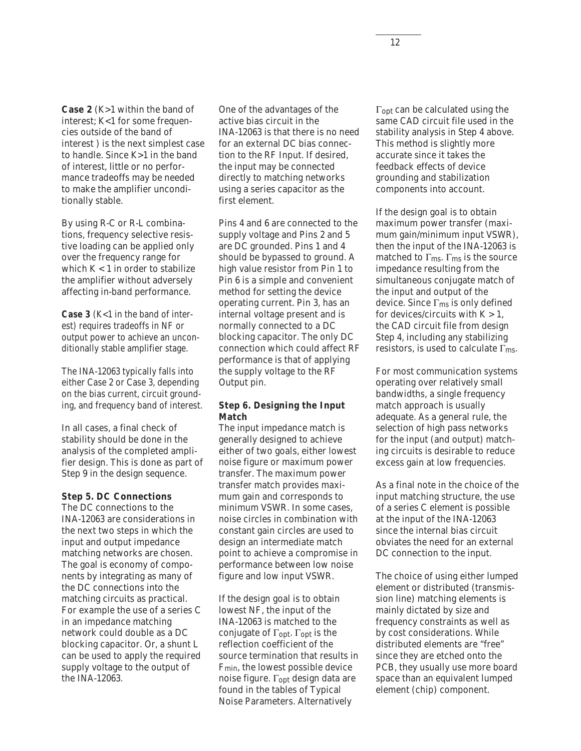**Case 2** (K>1 within the band of interest; K<1 for some frequencies outside of the band of interest ) is the next simplest case to handle. Since K>1 in the band of interest, little or no performance tradeoffs may be needed to make the amplifier unconditionally stable.

By using R-C or R-L combinations, frequency selective resistive loading can be applied only over the frequency range for which K < 1 in order to stabilize the amplifier without adversely affecting in-band performance.

**Case 3** (K<1 in the band of interest) requires tradeoffs in NF or output power to achieve an unconditionally stable amplifier stage.

The INA-12063 typically falls into either Case 2 or Case 3, depending on the bias current, circuit grounding, and frequency band of interest.

In all cases, a final check of stability should be done in the analysis of the completed amplifier design. This is done as part of Step 9 in the design sequence.

#### **Step 5. DC Connections**

The DC connections to the INA-12063 are considerations in the next two steps in which the input and output impedance matching networks are chosen. The goal is economy of components by integrating as many of the DC connections into the matching circuits as practical. For example the use of a series C in an impedance matching network could double as a DC blocking capacitor. Or, a shunt L can be used to apply the required supply voltage to the output of the INA-12063.

One of the advantages of the active bias circuit in the INA-12063 is that there is no need for an external DC bias connection to the RF Input. If desired, the input may be connected directly to matching networks using a series capacitor as the first element.

Pins 4 and 6 are connected to the supply voltage and Pins 2 and 5 are DC grounded. Pins 1 and 4 should be bypassed to ground. A high value resistor from Pin 1 to Pin 6 is a simple and convenient method for setting the device operating current. Pin 3, has an internal voltage present and is normally connected to a DC blocking capacitor. The only DC connection which could affect RF performance is that of applying the supply voltage to the RF Output pin.

#### **Step 6. Designing the Input Match**

The input impedance match is generally designed to achieve either of two goals, either lowest noise figure or maximum power transfer. The maximum power transfer match provides maximum gain and corresponds to minimum VSWR. In some cases, noise circles in combination with constant gain circles are used to design an intermediate match point to achieve a compromise in performance between low noise figure and low input VSWR.

If the design goal is to obtain lowest NF, the input of the INA-12063 is matched to the conjugate of  $\Gamma_{\rm opt}$ .  $\Gamma_{\rm opt}$  is the reflection coefficient of the source termination that results in Fmin, the lowest possible device noise figure. Γopt design data are found in the tables of Typical Noise Parameters. Alternatively

Γopt can be calculated using the same CAD circuit file used in the stability analysis in Step 4 above. This method is slightly more accurate since it takes the feedback effects of device grounding and stabilization components into account.

If the design goal is to obtain maximum power transfer (maximum gain/minimum input VSWR), then the input of the INA-12063 is matched to  $\Gamma_{\text{ms}}$ .  $\Gamma_{\text{ms}}$  is the source impedance resulting from the simultaneous conjugate match of the input and output of the device. Since Γms is only defined for devices/circuits with  $K > 1$ , the CAD circuit file from design Step 4, including any stabilizing resistors, is used to calculate  $\Gamma_{\text{ms}}$ .

For most communication systems operating over relatively small bandwidths, a single frequency match approach is usually adequate. As a general rule, the selection of high pass networks for the input (and output) matching circuits is desirable to reduce excess gain at low frequencies.

As a final note in the choice of the input matching structure, the use of a series C element is possible at the input of the INA-12063 since the internal bias circuit obviates the need for an external DC connection to the input.

The choice of using either lumped element or distributed (transmission line) matching elements is mainly dictated by size and frequency constraints as well as by cost considerations. While distributed elements are "free" since they are etched onto the PCB, they usually use more board space than an equivalent lumped element (chip) component.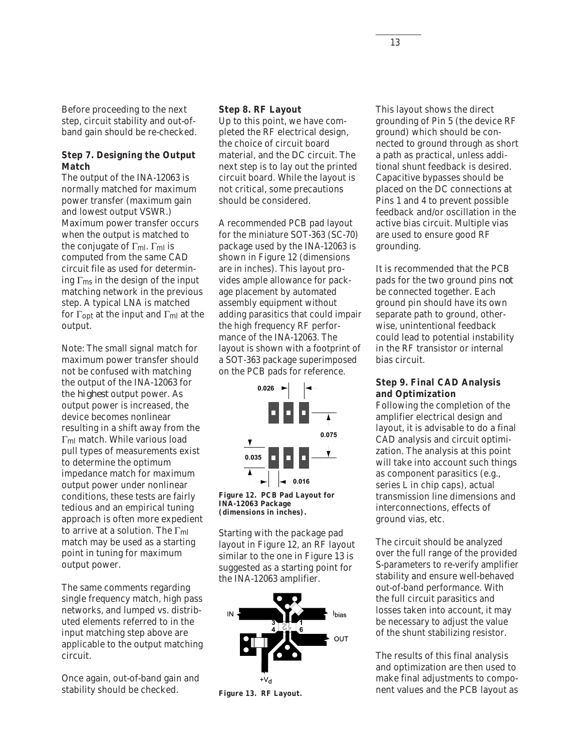Before proceeding to the next step, circuit stability and out-ofband gain should be re-checked.

#### **Step 7. Designing the Output Match**

The output of the INA-12063 is normally matched for maximum power transfer (maximum gain and lowest output VSWR.) Maximum power transfer occurs when the output is matched to the conjugate of  $\Gamma_{ml}$ .  $\Gamma_{ml}$  is computed from the same CAD circuit file as used for determining  $\Gamma_{\text{ms}}$  in the design of the input matching network in the previous step. A typical LNA is matched for  $\Gamma_{\text{opt}}$  at the input and  $\Gamma_{\text{ml}}$  at the output.

Note: The small signal match for maximum power transfer should not be confused with matching the output of the INA-12063 for the *highest* output power. As output power is increased, the device becomes nonlinear resulting in a shift away from the Γml match. While various load pull types of measurements exist to determine the optimum impedance match for maximum output power under nonlinear conditions, these tests are fairly tedious and an empirical tuning approach is often more expedient to arrive at a solution. The  $\Gamma_{ml}$ match may be used as a starting point in tuning for maximum output power.

The same comments regarding single frequency match, high pass networks, and lumped vs. distributed elements referred to in the input matching step above are applicable to the output matching circuit.

Once again, out-of-band gain and stability should be checked.

#### **Step 8. RF Layout**

Up to this point, we have completed the RF electrical design, the choice of circuit board material, and the DC circuit. The next step is to lay out the printed circuit board. While the layout is not critical, some precautions should be considered.

A recommended PCB pad layout for the miniature SOT-363 (SC-70) package used by the INA-12063 is shown in Figure 12 (dimensions are in inches). This layout provides ample allowance for package placement by automated assembly equipment without adding parasitics that could impair the high frequency RF performance of the INA-12063. The layout is shown with a footprint of a SOT-363 package superimposed on the PCB pads for reference.



**Figure 12. PCB Pad Layout for INA-12063 Package (dimensions in inches).**

Starting with the package pad layout in Figure 12, an RF layout similar to the one in Figure 13 is suggested as a starting point for the INA-12063 amplifier.



**Figure 13. RF Layout.**

This layout shows the direct grounding of Pin 5 (the device RF ground) which should be connected to ground through as short a path as practical, unless additional shunt feedback is desired. Capacitive bypasses should be placed on the DC connections at Pins 1 and 4 to prevent possible feedback and/or oscillation in the active bias circuit. Multiple vias are used to ensure good RF grounding.

It is recommended that the PCB pads for the two ground pins *not* be connected together. Each ground pin should have its own separate path to ground, otherwise, unintentional feedback could lead to potential instability in the RF transistor or internal bias circuit.

#### **Step 9. Final CAD Analysis and Optimization**

Following the completion of the amplifier electrical design and layout, it is advisable to do a final CAD analysis and circuit optimization. The analysis at this point will take into account such things as component parasitics (e.g., series L in chip caps), actual transmission line dimensions and interconnections, effects of ground vias, etc.

The circuit should be analyzed over the full range of the provided S-parameters to re-verify amplifier stability and ensure well-behaved out-of-band performance. With the full circuit parasitics and losses taken into account, it may be necessary to adjust the value of the shunt stabilizing resistor.

The results of this final analysis and optimization are then used to make final adjustments to component values and the PCB layout as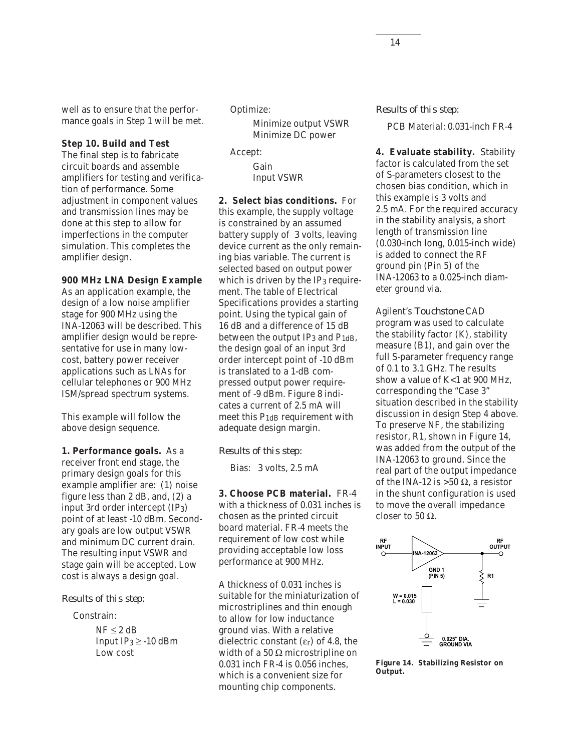well as to ensure that the performance goals in Step 1 will be met.

#### **Step 10. Build and Test**

The final step is to fabricate circuit boards and assemble amplifiers for testing and verification of performance. Some adjustment in component values and transmission lines may be done at this step to allow for imperfections in the computer simulation. This completes the amplifier design.

#### **900 MHz LNA Design Example**

As an application example, the design of a low noise amplifier stage for 900 MHz using the INA-12063 will be described. This amplifier design would be representative for use in many lowcost, battery power receiver applications such as LNAs for cellular telephones or 900 MHz ISM/spread spectrum systems.

This example will follow the above design sequence.

**1. Performance goals.** As a receiver front end stage, the primary design goals for this example amplifier are: (1) noise figure less than 2 dB, and, (2) a input 3rd order intercept (IP3) point of at least -10 dBm. Secondary goals are low output VSWR and minimum DC current drain. The resulting input VSWR and stage gain will be accepted. Low cost is always a design goal.

#### *Results of this step:*

Constrain:

 $NF \leq 2$  dB Input  $IP_3 \ge -10$  dBm Low cost

Optimize:

Minimize output VSWR Minimize DC power

Accept:

Gain Input VSWR

**2. Select bias conditions.** For this example, the supply voltage is constrained by an assumed battery supply of 3 volts, leaving device current as the only remaining bias variable. The current is selected based on output power which is driven by the IP3 requirement. The table of Electrical Specifications provides a starting point. Using the typical gain of 16 dB and a difference of 15 dB between the output IP<sub>3</sub> and  $P_{1dB}$ , the design goal of an input 3rd order intercept point of -10 dBm is translated to a 1-dB compressed output power requirement of -9 dBm. Figure 8 indicates a current of 2.5 mA will meet this P<sub>1dB</sub> requirement with adequate design margin.

#### *Results of this step:*

Bias: 3 volts, 2.5 mA

**3. Choose PCB material.** FR-4 with a thickness of 0.031 inches is chosen as the printed circuit board material. FR-4 meets the requirement of low cost while providing acceptable low loss performance at 900 MHz.

A thickness of 0.031 inches is suitable for the miniaturization of microstriplines and thin enough to allow for low inductance ground vias. With a relative dielectric constant  $(\varepsilon_r)$  of 4.8, the width of a 50  $\Omega$  microstripline on 0.031 inch FR-4 is 0.056 inches, which is a convenient size for mounting chip components.

*Results of this step:*

PCB Material: 0.031-inch FR-4

**4. Evaluate stability.** Stability factor is calculated from the set of S-parameters closest to the chosen bias condition, which in this example is 3 volts and 2.5 mA. For the required accuracy in the stability analysis, a short length of transmission line (0.030-inch long, 0.015-inch wide) is added to connect the RF ground pin (Pin 5) of the INA-12063 to a 0.025-inch diameter ground via.

Agilent's *Touchstone* CAD program was used to calculate the stability factor (K), stability measure (B1), and gain over the full S-parameter frequency range of 0.1 to 3.1 GHz. The results show a value of K<1 at 900 MHz, corresponding the "Case 3" situation described in the stability discussion in design Step 4 above. To preserve NF, the stabilizing resistor, R1, shown in Figure 14, was added from the output of the INA-12063 to ground. Since the real part of the output impedance of the INA-12 is >50 Ω, a resistor in the shunt configuration is used to move the overall impedance closer to 50  $\Omega$ .



**Figure 14. Stabilizing Resistor on Output.**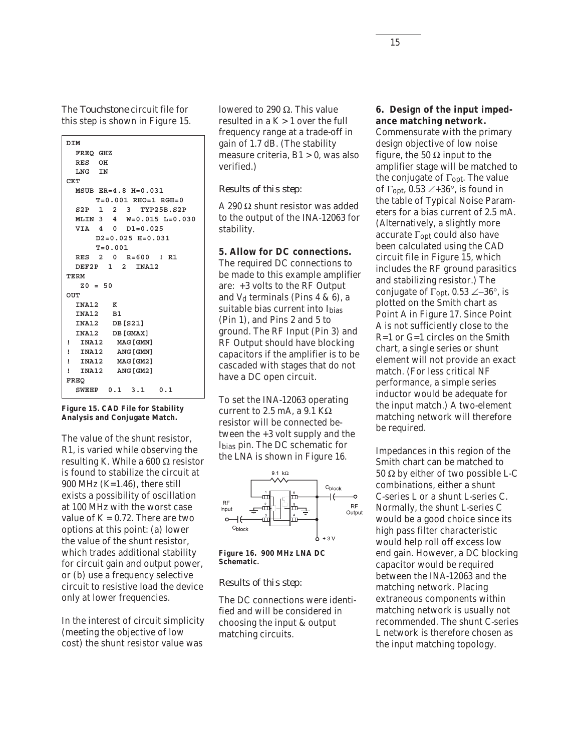The *Touchstone* circuit file for this step is shown in Figure 15.

```
 DIM
   FREQ GHZ
   RES OH
   LNG IN
 CKT
   MSUB ER=4.8 H=0.031
      T=0.001 RHO=1 RGH=0
   S2P 1 2 3 TYP25B.S2P
   MLIN 3 4 W=0.015 L=0.030
   VIA 4 0 D1=0.025
      D2=0.025 H=0.031
      T=0.001
   RES 2 0 R=600 ! R1
   DEF2P 1 2 INA12
 TERM
    Z0 = 50
 OUT
   INA12 K
   INA12 B1
   INA12 DB[S21]
   INA12 DB[GMAX]
 ! INA12 MAG[GMN]
 ! INA12 ANG[GMN]
 ! INA12 MAG[GM2]
 ! INA12 ANG[GM2]
 FREQ
   SWEEP 0.1 3.1 0.1
```
#### **Figure 15. CAD File for Stability Analysis and Conjugate Match.**

The value of the shunt resistor, R1, is varied while observing the resulting K. While a 600  $\Omega$  resistor is found to stabilize the circuit at 900 MHz  $(K=1.46)$ , there still exists a possibility of oscillation at 100 MHz with the worst case value of  $K = 0.72$ . There are two options at this point: (a) lower the value of the shunt resistor, which trades additional stability for circuit gain and output power, or (b) use a frequency selective circuit to resistive load the device only at lower frequencies.

In the interest of circuit simplicity (meeting the objective of low cost) the shunt resistor value was

lowered to 290 Ω. This value resulted in a  $K > 1$  over the full frequency range at a trade-off in gain of 1.7 dB. (The stability measure criteria, B1 > 0, was also verified.)

#### *Results of this step:*

A 290 Ω shunt resistor was added to the output of the INA-12063 for stability.

#### **5. Allow for DC connections.**

The required DC connections to be made to this example amplifier are: +3 volts to the RF Output and  $V_d$  terminals (Pins 4 & 6), a suitable bias current into Ibias (Pin 1), and Pins 2 and 5 to ground. The RF Input (Pin 3) and RF Output should have blocking capacitors if the amplifier is to be cascaded with stages that do not have a DC open circuit.

To set the INA-12063 operating current to 2.5 mA, a  $9.1$  K $\Omega$ resistor will be connected between the +3 volt supply and the Ibias pin. The DC schematic for the LNA is shown in Figure 16.



**Figure 16. 900 MHz LNA DC Schematic.**

#### *Results of this step:*

The DC connections were identified and will be considered in choosing the input & output matching circuits.

#### **6. Design of the input impedance matching network.**

Commensurate with the primary design objective of low noise figure, the 50  $\Omega$  input to the amplifier stage will be matched to the conjugate of  $\Gamma_{\text{opt}}$ . The value of  $\Gamma_{\text{opt}}$ , 0.53  $\angle +36^{\circ}$ , is found in the table of Typical Noise Parameters for a bias current of 2.5 mA. (Alternatively, a slightly more accurate Γopt could also have been calculated using the CAD circuit file in Figure 15, which includes the RF ground parasitics and stabilizing resistor.) The conjugate of Γopt, 0.53 ∠−36°, is plotted on the Smith chart as Point A in Figure 17. Since Point A is not sufficiently close to the R=1 or G=1 circles on the Smith chart, a single series or shunt element will not provide an exact match. (For less critical NF performance, a simple series inductor would be adequate for the input match.) A two-element matching network will therefore be required.

Impedances in this region of the Smith chart can be matched to 50 Ω by either of two possible L-C combinations, either a shunt C-series L or a shunt L-series C. Normally, the shunt L-series C would be a good choice since its high pass filter characteristic would help roll off excess low end gain. However, a DC blocking capacitor would be required between the INA-12063 and the matching network. Placing extraneous components within matching network is usually not recommended. The shunt C-series L network is therefore chosen as the input matching topology.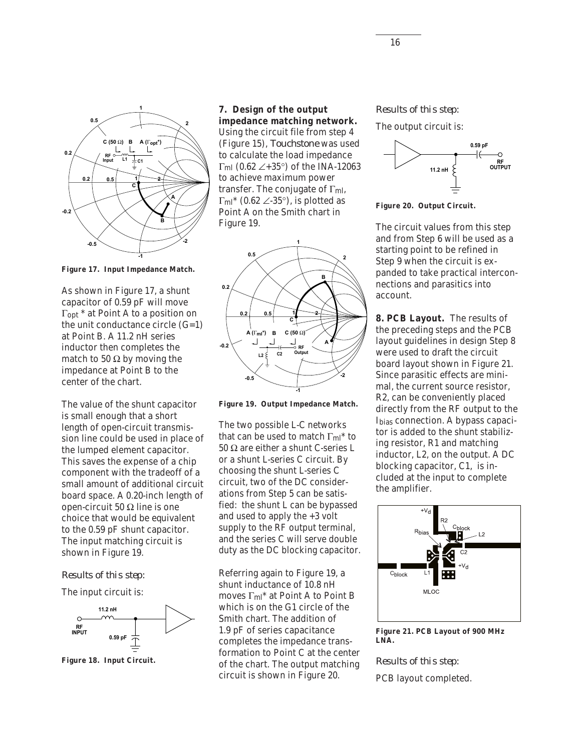

**Figure 17. Input Impedance Match.**

As shown in Figure 17, a shunt capacitor of 0.59 pF will move Γopt \* at Point A to a position on the unit conductance circle  $(G=1)$ at Point B. A 11.2 nH series inductor then completes the match to 50  $\Omega$  by moving the impedance at Point B to the center of the chart.

The value of the shunt capacitor is small enough that a short length of open-circuit transmission line could be used in place of the lumped element capacitor. This saves the expense of a chip component with the tradeoff of a small amount of additional circuit board space. A 0.20-inch length of open-circuit 50 Ω line is one choice that would be equivalent to the 0.59 pF shunt capacitor. The input matching circuit is shown in Figure 19.

#### *Results of this step:*

The input circuit is:



**Figure 18. Input Circuit.**

**7. Design of the output impedance matching network.** Using the circuit file from step 4 (Figure 15), *Touchstone* was used to calculate the load impedance  $\Gamma$ <sub>ml</sub> (0.62 ∠+35°) of the INA-12063 to achieve maximum power transfer. The conjugate of Γml,  $\Gamma_{\text{ml}}$ <sup>\*</sup> (0.62 ∠-35°), is plotted as Point A on the Smith chart in Figure 19.



**Figure 19. Output Impedance Match.**

The two possible L-C networks that can be used to match  $\Gamma_{\text{ml}}$ <sup>\*</sup> to 50 Ω are either a shunt C-series L or a shunt L-series C circuit. By choosing the shunt L-series C circuit, two of the DC considerations from Step 5 can be satisfied: the shunt L can be bypassed and used to apply the +3 volt supply to the RF output terminal, and the series C will serve double duty as the DC blocking capacitor.

Referring again to Figure 19, a shunt inductance of 10.8 nH moves Γml\* at Point A to Point B which is on the G1 circle of the Smith chart. The addition of 1.9 pF of series capacitance completes the impedance transformation to Point C at the center of the chart. The output matching circuit is shown in Figure 20.

#### *Results of this step:*

The output circuit is:



**Figure 20. Output Circuit.**

The circuit values from this step and from Step 6 will be used as a starting point to be refined in Step 9 when the circuit is expanded to take practical interconnections and parasitics into account.

**8. PCB Layout.** The results of the preceding steps and the PCB layout guidelines in design Step 8 were used to draft the circuit board layout shown in Figure 21. Since parasitic effects are minimal, the current source resistor, R2, can be conveniently placed directly from the RF output to the Ibias connection. A bypass capacitor is added to the shunt stabilizing resistor, R1 and matching inductor, L2, on the output. A DC blocking capacitor, C1, is included at the input to complete the amplifier.



**Figure 21. PCB Layout of 900 MHz LNA.**

## *Results of this step:* PCB layout completed.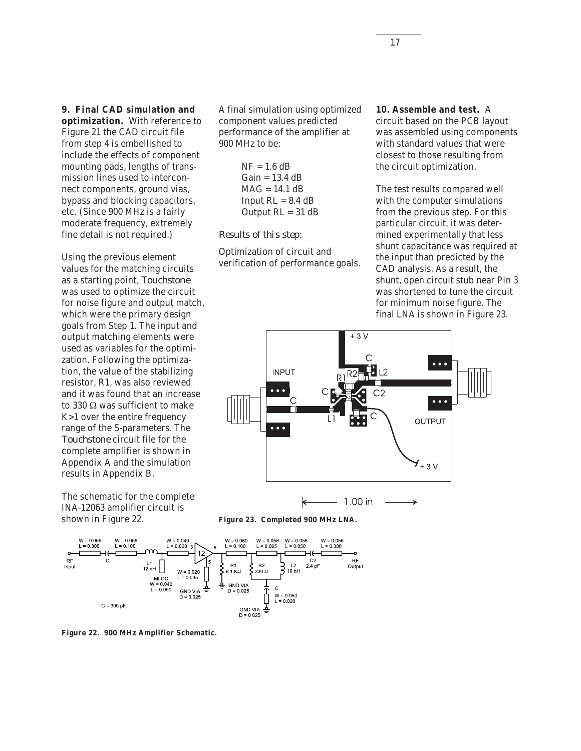## **9. Final CAD simulation and**

**optimization.** With reference to Figure 21 the CAD circuit file from step 4 is embellished to include the effects of component mounting pads, lengths of transmission lines used to interconnect components, ground vias, bypass and blocking capacitors, etc. (Since 900 MHz is a fairly moderate frequency, extremely fine detail is not required.)

Using the previous element values for the matching circuits as a starting point, *Touchstone* was used to optimize the circuit for noise figure and output match, which were the primary design goals from Step 1. The input and output matching elements were used as variables for the optimization. Following the optimization, the value of the stabilizing resistor, R1, was also reviewed and it was found that an increase to 330 Ω was sufficient to make K>1 over the entire frequency range of the S-parameters. The *Touchstone* circuit file for the complete amplifier is shown in Appendix A and the simulation results in Appendix B.

The schematic for the complete INA-12063 amplifier circuit is shown in Figure 22.

A final simulation using optimized component values predicted performance of the amplifier at 900 MHz to be:

> $NF = 1.6$  dB  $Gain = 13.4 dB$  $MAG = 14.1 dB$ Input  $RL = 8.4$  dB Output  $RL = 31$  dB

#### *Results of this step:*

Optimization of circuit and verification of performance goals.

#### **10. Assemble and test.** A

circuit based on the PCB layout was assembled using components with standard values that were closest to those resulting from the circuit optimization.

The test results compared well with the computer simulations from the previous step. For this particular circuit, it was determined experimentally that less shunt capacitance was required at the input than predicted by the CAD analysis. As a result, the shunt, open circuit stub near Pin 3 was shortened to tune the circuit for minimum noise figure. The final LNA is shown in Figure 23.



1.00 in. ≯





**Figure 22. 900 MHz Amplifier Schematic.**

17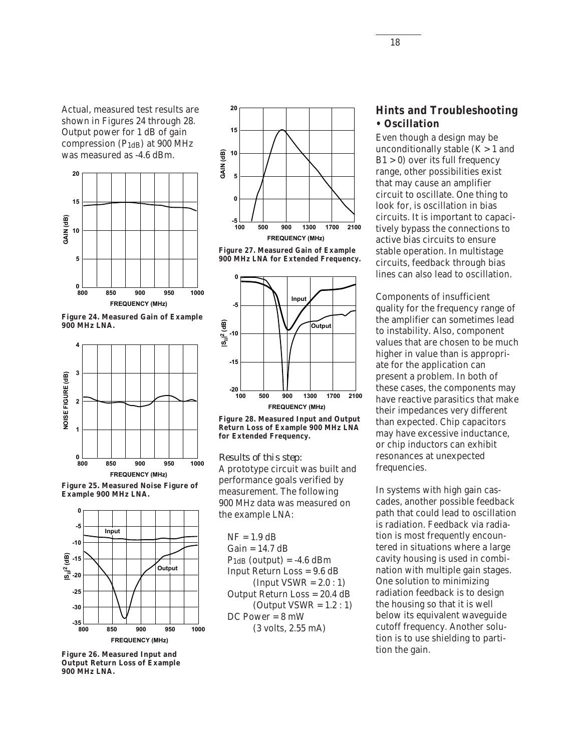Actual, measured test results are shown in Figures 24 through 28. Output power for 1 dB of gain compression  $(P_{1dB})$  at 900 MHz was measured as -4.6 dBm.



**Figure 24. Measured Gain of Example 900 MHz LNA.**







**Figure 26. Measured Input and Output Return Loss of Example 900 MHz LNA.**







**Figure 28. Measured Input and Output Return Loss of Example 900 MHz LNA for Extended Frequency.**

*Results of this step:*

A prototype circuit was built and performance goals verified by measurement. The following 900 MHz data was measured on the example LNA:

 $NF = 1.9$  dB  $Gain = 14.7 dB$  $P_{1dB}$  (output) = -4.6 dBm Input Return Loss = 9.6 dB  $(Input VSWR = 2.0:1)$ Output Return Loss = 20.4 dB (Output  $VSWR = 1.2:1$ ) DC Power = 8 mW (3 volts, 2.55 mA)

## **Hints and Troubleshooting • Oscillation**

Even though a design may be unconditionally stable  $(K > 1)$  and  $B1 > 0$ ) over its full frequency range, other possibilities exist that may cause an amplifier circuit to oscillate. One thing to look for, is oscillation in bias circuits. It is important to capacitively bypass the connections to active bias circuits to ensure stable operation. In multistage circuits, feedback through bias lines can also lead to oscillation.

Components of insufficient quality for the frequency range of the amplifier can sometimes lead to instability. Also, component values that are chosen to be much higher in value than is appropriate for the application can present a problem. In both of these cases, the components may have reactive parasitics that make their impedances very different than expected. Chip capacitors may have excessive inductance, or chip inductors can exhibit resonances at unexpected frequencies.

In systems with high gain cascades, another possible feedback path that could lead to oscillation is radiation. Feedback via radiation is most frequently encountered in situations where a large cavity housing is used in combination with multiple gain stages. One solution to minimizing radiation feedback is to design the housing so that it is well below its equivalent waveguide cutoff frequency. Another solution is to use shielding to partition the gain.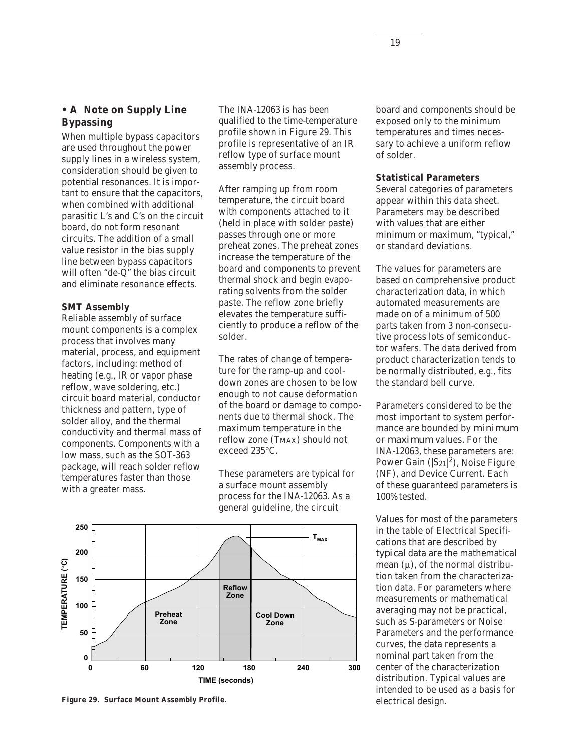## **• A Note on Supply Line Bypassing**

When multiple bypass capacitors are used throughout the power supply lines in a wireless system, consideration should be given to potential resonances. It is important to ensure that the capacitors, when combined with additional parasitic L's and C's on the circuit board, do not form resonant circuits. The addition of a small value resistor in the bias supply line between bypass capacitors will often "de-Q" the bias circuit and eliminate resonance effects.

#### **SMT Assembly**

Reliable assembly of surface mount components is a complex process that involves many material, process, and equipment factors, including: method of heating (e.g., IR or vapor phase reflow, wave soldering, etc.) circuit board material, conductor thickness and pattern, type of solder alloy, and the thermal conductivity and thermal mass of components. Components with a low mass, such as the SOT-363 package, will reach solder reflow temperatures faster than those with a greater mass.

The INA-12063 is has been qualified to the time-temperature profile shown in Figure 29. This profile is representative of an IR reflow type of surface mount assembly process.

After ramping up from room temperature, the circuit board with components attached to it (held in place with solder paste) passes through one or more preheat zones. The preheat zones increase the temperature of the board and components to prevent thermal shock and begin evaporating solvents from the solder paste. The reflow zone briefly elevates the temperature sufficiently to produce a reflow of the solder.

The rates of change of temperature for the ramp-up and cooldown zones are chosen to be low enough to not cause deformation of the board or damage to components due to thermal shock. The maximum temperature in the reflow zone (T<sub>MAX</sub>) should not exceed 235°C.

These parameters are typical for a surface mount assembly process for the INA-12063. As a general guideline, the circuit



**Figure 29. Surface Mount Assembly Profile.**

board and components should be exposed only to the minimum temperatures and times necessary to achieve a uniform reflow of solder.

#### **Statistical Parameters**

Several categories of parameters appear within this data sheet. Parameters may be described with values that are either minimum or maximum, "typical," or standard deviations.

The values for parameters are based on comprehensive product characterization data, in which automated measurements are made on of a minimum of 500 parts taken from 3 non-consecutive process lots of semiconductor wafers. The data derived from product characterization tends to be normally distributed, e.g., fits the standard bell curve.

Parameters considered to be the most important to system performance are bounded by *minimum* or *maximum* values. For the INA-12063, these parameters are: Power Gain ( $|S_{21}|^2$ ), Noise Figure (NF), and Device Current. Each of these guaranteed parameters is 100% tested.

Values for most of the parameters in the table of Electrical Specifications that are described by *typical* data are the mathematical mean  $(\mu)$ , of the normal distribution taken from the characterization data. For parameters where measurements or mathematical averaging may not be practical, such as S-parameters or Noise Parameters and the performance curves, the data represents a nominal part taken from the center of the characterization distribution. Typical values are intended to be used as a basis for electrical design.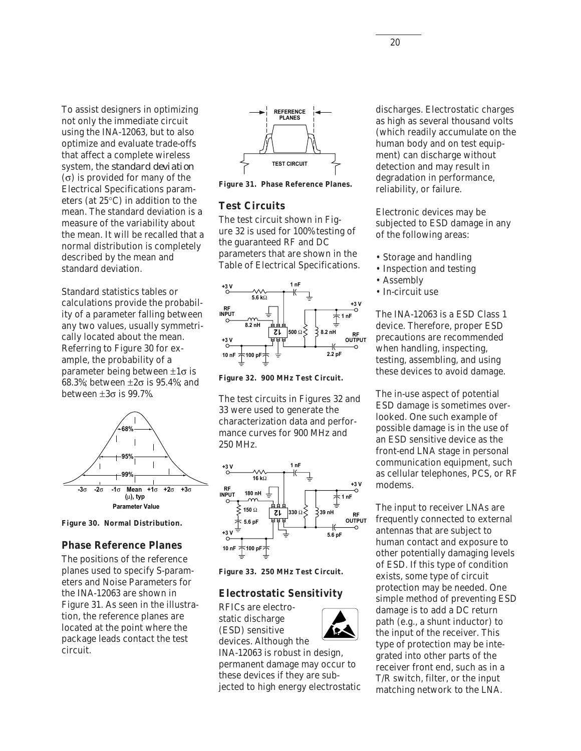To assist designers in optimizing not only the immediate circuit using the INA-12063, but to also optimize and evaluate trade-offs that affect a complete wireless system, the *standard deviation* (σ) is provided for many of the Electrical Specifications parameters (at 25°C) in addition to the mean. The standard deviation is a measure of the variability about the mean. It will be recalled that a normal distribution is completely described by the mean and standard deviation.

Standard statistics tables or calculations provide the probability of a parameter falling between any two values, usually symmetrically located about the mean. Referring to Figure 30 for example, the probability of a parameter being between ±1σ is 68.3%; between ±2σ is 95.4%; and between  $\pm 3\sigma$  is 99.7%.



**Figure 30. Normal Distribution.**

#### **Phase Reference Planes**

The positions of the reference planes used to specify S-parameters and Noise Parameters for the INA-12063 are shown in Figure 31. As seen in the illustration, the reference planes are located at the point where the package leads contact the test circuit.



**Figure 31. Phase Reference Planes.**

#### **Test Circuits**

The test circuit shown in Figure 32 is used for 100% testing of the guaranteed RF and DC parameters that are shown in the Table of Electrical Specifications.



**Figure 32. 900 MHz Test Circuit.**

The test circuits in Figures 32 and 33 were used to generate the characterization data and performance curves for 900 MHz and 250 MHz.



**Figure 33. 250 MHz Test Circuit.**

#### **Electrostatic Sensitivity**

RFICs are electrostatic discharge (ESD) sensitive devices. Although the



INA-12063 is robust in design, permanent damage may occur to these devices if they are subjected to high energy electrostatic discharges. Electrostatic charges as high as several thousand volts (which readily accumulate on the human body and on test equipment) can discharge without detection and may result in degradation in performance, reliability, or failure.

Electronic devices may be subjected to ESD damage in any of the following areas:

- Storage and handling
- Inspection and testing
- Assembly
- In-circuit use

The INA-12063 is a ESD Class 1 device. Therefore, proper ESD precautions are recommended when handling, inspecting, testing, assembling, and using these devices to avoid damage.

The in-use aspect of potential ESD damage is sometimes overlooked. One such example of possible damage is in the use of an ESD sensitive device as the front-end LNA stage in personal communication equipment, such as cellular telephones, PCS, or RF modems.

The input to receiver LNAs are frequently connected to external antennas that are subject to human contact and exposure to other potentially damaging levels of ESD. If this type of condition exists, some type of circuit protection may be needed. One simple method of preventing ESD damage is to add a DC return path (e.g., a shunt inductor) to the input of the receiver. This type of protection may be integrated into other parts of the receiver front end, such as in a T/R switch, filter, or the input matching network to the LNA.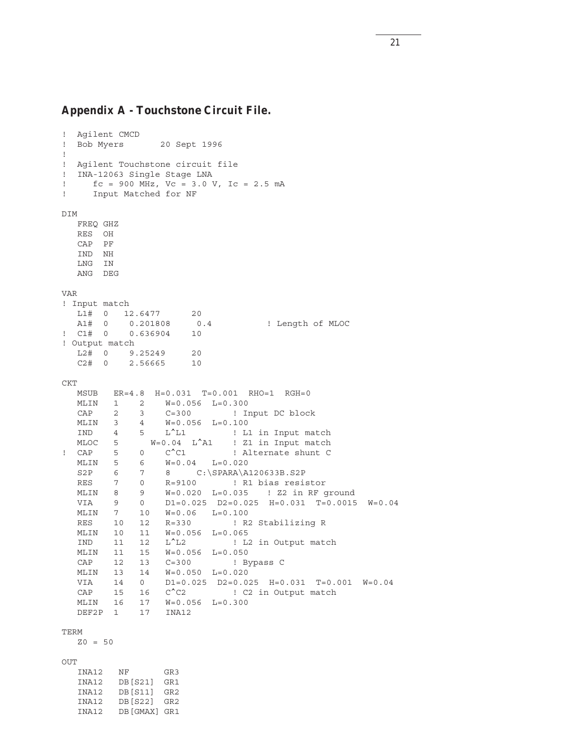#### **Appendix A -** *Touchstone* **Circuit File.**

```
! Agilent CMCD
! Bob Myers 20 Sept 1996
!
! Agilent Touchstone circuit file
! INA-12063 Single Stage LNA
! fc = 900 MHz, Vc = 3.0 V, Ic = 2.5 mA
! Input Matched for NF
DIM
   FREQ GHZ
   RES OH
   CAP PF
   IND NH
   LNG IN
   ANG DEG
VAR
! Input match
  L1# 0 12.6477 20
  A1# 0 0.201808 0.4 ! Length of MLOC
! C1# 0 0.636904 10
! Output match
   L2# 0 9.25249 20
   C2# 0 2.56665 10
CKT
   MSUB ER=4.8 H=0.031 T=0.001 RHO=1 RGH=0
   MLIN 1 2 W=0.056 L=0.300
   CAP 2 3 C=300 ! Input DC block
   MLIN 3 4 W=0.056 L=0.100
   IND 4 5 L^L1 ! L1 in Input match
   MLOC 5 W=0.04 L^A1 ! Z1 in Input match
! CAP 5 0 C<sup>^</sup>C1 ! Alternate shunt C
   MLIN 5 6 W=0.04 L=0.020
   S2P 6 7 8 C:\SPARA\A120633B.S2P
   RES 7 0 R=9100 ! R1 bias resistor
   MLIN 8 9 W=0.020 L=0.035 ! Z2 in RF ground
   VIA 9 0 D1=0.025 D2=0.025 H=0.031 T=0.0015 W=0.04
   MLIN 7 10 W=0.06 L=0.100
   RES 10 12 R=330 ! R2 Stabilizing R
   MLIN 10 11 W=0.056 L=0.065
   IND 11 12 L^L2 ! L2 in Output match
   MLIN 11 15 W=0.056 L=0.050
   CAP 12 13 C=300 ! Bypass C
   MLIN 13 14 W=0.050 L=0.020
  VIA 14 0 D1=0.025 D2=0.025 H=0.031 T=0.001 W=0.04<br>CAP 15 16 C<sup>^</sup>C2 ! C2 in Output match
  CAP 15 16 C<sup>^</sup>C2 ! C2 in Output match
   MLIN 16 17 W=0.056 L=0.300
   DEF2P 1 17 INA12
TERM
  Z0 = 50OUT
   INA12 NF GR3
   INA12 DB[S21] GR1
   INA12 DB[S11] GR2
   INA12 DB[S22] GR2
```
INA12 DB[GMAX] GR1

21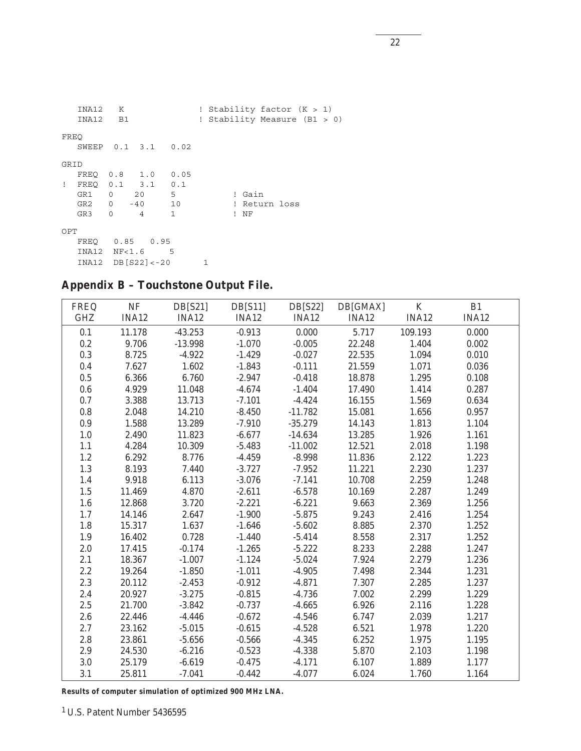|              | INA12<br>INA12 B1 | K                          |              |              | ! Stability factor $(K > 1)$<br>! Stability Measure (B1 > 0) |        |               |  |  |
|--------------|-------------------|----------------------------|--------------|--------------|--------------------------------------------------------------|--------|---------------|--|--|
| FREO         |                   |                            |              |              |                                                              |        |               |  |  |
|              |                   | SWEEP 0.1 3.1 0.02         |              |              |                                                              |        |               |  |  |
| GRID         |                   |                            |              |              |                                                              |        |               |  |  |
|              |                   | FREQ 0.8 1.0 0.05          |              |              |                                                              |        |               |  |  |
| $\mathbf{I}$ |                   | FREQ 0.1 3.1 0.1           |              |              |                                                              |        |               |  |  |
|              | GR1 0             | 20 5                       |              |              |                                                              | ! Gain |               |  |  |
|              |                   | GR2 0 -40 10               |              |              |                                                              |        | ! Return loss |  |  |
|              | GR3               | $\overline{4}$<br>$\Omega$ | $\mathbf{1}$ |              | Τ.                                                           | ΝF     |               |  |  |
| OPT          |                   |                            |              |              |                                                              |        |               |  |  |
|              |                   | FREO  0.85  0.95           |              |              |                                                              |        |               |  |  |
|              |                   | INA12 NF<1.6 5             |              |              |                                                              |        |               |  |  |
|              |                   | $INA12$ DB $[S22] < -20$   |              | $\mathbf{1}$ |                                                              |        |               |  |  |

## **Appendix B –** *Touchstone* **Output File.**

| <b>FREQ</b> | $\rm NF$     | DB[S21]      | DB[511]  | DB[S22]   | DB[GMAX]     | $\bf K$      | B1           |
|-------------|--------------|--------------|----------|-----------|--------------|--------------|--------------|
| <b>GHZ</b>  | <b>INA12</b> | <b>INA12</b> | INA12    | INA12     | <b>INA12</b> | <b>INA12</b> | <b>INA12</b> |
| 0.1         | 11.178       | $-43.253$    | $-0.913$ | 0.000     | 5.717        | 109.193      | 0.000        |
| 0.2         | 9.706        | $-13.998$    | $-1.070$ | $-0.005$  | 22.248       | 1.404        | 0.002        |
| 0.3         | 8.725        | $-4.922$     | $-1.429$ | $-0.027$  | 22.535       | 1.094        | 0.010        |
| 0.4         | 7.627        | 1.602        | $-1.843$ | $-0.111$  | 21.559       | 1.071        | 0.036        |
| 0.5         | 6.366        | 6.760        | $-2.947$ | $-0.418$  | 18.878       | 1.295        | 0.108        |
| 0.6         | 4.929        | 11.048       | $-4.674$ | $-1.404$  | 17.490       | 1.414        | 0.287        |
| 0.7         | 3.388        | 13.713       | $-7.101$ | $-4.424$  | 16.155       | 1.569        | 0.634        |
| 0.8         | 2.048        | 14.210       | $-8.450$ | $-11.782$ | 15.081       | 1.656        | 0.957        |
| 0.9         | 1.588        | 13.289       | $-7.910$ | $-35.279$ | 14.143       | 1.813        | 1.104        |
| $1.0\,$     | 2.490        | 11.823       | $-6.677$ | $-14.634$ | 13.285       | 1.926        | 1.161        |
| 1.1         | 4.284        | 10.309       | $-5.483$ | $-11.002$ | 12.521       | 2.018        | 1.198        |
| 1.2         | 6.292        | 8.776        | $-4.459$ | $-8.998$  | 11.836       | 2.122        | 1.223        |
| 1.3         | 8.193        | 7.440        | $-3.727$ | $-7.952$  | 11.221       | 2.230        | 1.237        |
| 1.4         | 9.918        | 6.113        | $-3.076$ | $-7.141$  | 10.708       | 2.259        | 1.248        |
| 1.5         | 11.469       | 4.870        | $-2.611$ | $-6.578$  | 10.169       | 2.287        | 1.249        |
| $1.6\,$     | 12.868       | 3.720        | $-2.221$ | $-6.221$  | 9.663        | 2.369        | 1.256        |
| 1.7         | 14.146       | 2.647        | $-1.900$ | $-5.875$  | 9.243        | 2.416        | 1.254        |
| 1.8         | 15.317       | 1.637        | $-1.646$ | $-5.602$  | 8.885        | 2.370        | 1.252        |
| $1.9\,$     | 16.402       | 0.728        | $-1.440$ | $-5.414$  | 8.558        | 2.317        | 1.252        |
| 2.0         | 17.415       | $-0.174$     | $-1.265$ | $-5.222$  | 8.233        | 2.288        | 1.247        |
| 2.1         | 18.367       | $-1.007$     | $-1.124$ | $-5.024$  | 7.924        | 2.279        | 1.236        |
| 2.2         | 19.264       | $-1.850$     | $-1.011$ | $-4.905$  | 7.498        | 2.344        | 1.231        |
| 2.3         | 20.112       | $-2.453$     | $-0.912$ | $-4.871$  | 7.307        | 2.285        | 1.237        |
| 2.4         | 20.927       | $-3.275$     | $-0.815$ | $-4.736$  | 7.002        | 2.299        | 1.229        |
| 2.5         | 21.700       | $-3.842$     | $-0.737$ | $-4.665$  | 6.926        | 2.116        | 1.228        |
| 2.6         | 22.446       | $-4.446$     | $-0.672$ | $-4.546$  | 6.747        | 2.039        | 1.217        |
| 2.7         | 23.162       | $-5.015$     | $-0.615$ | $-4.528$  | 6.521        | 1.978        | 1.220        |
| 2.8         | 23.861       | $-5.656$     | $-0.566$ | $-4.345$  | 6.252        | 1.975        | 1.195        |
| 2.9         | 24.530       | $-6.216$     | $-0.523$ | $-4.338$  | 5.870        | 2.103        | 1.198        |
| 3.0         | 25.179       | $-6.619$     | $-0.475$ | $-4.171$  | 6.107        | 1.889        | 1.177        |
| 3.1         | 25.811       | $-7.041$     | $-0.442$ | $-4.077$  | 6.024        | 1.760        | 1.164        |

**Results of computer simulation of optimized 900 MHz LNA.**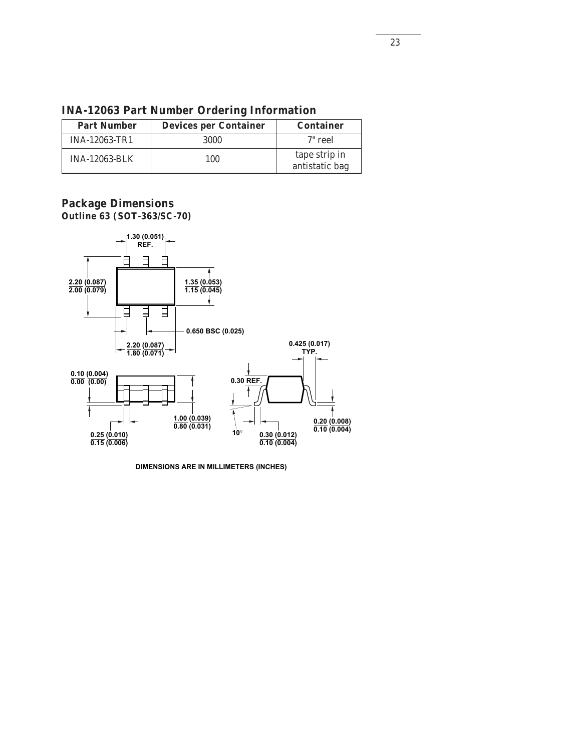| <b>Part Number</b>   | <b>Devices per Container</b> | <b>Container</b>                |
|----------------------|------------------------------|---------------------------------|
| <b>INA-12063-TR1</b> | 3000                         | 7" reel                         |
| <b>INA-12063-BLK</b> | 100                          | tape strip in<br>antistatic bag |

**INA-12063 Part Number Ordering Information**

### **Package Dimensions Outline 63 (SOT-363/SC-70)**



**DIMENSIONS ARE IN MILLIMETERS (INCHES)**